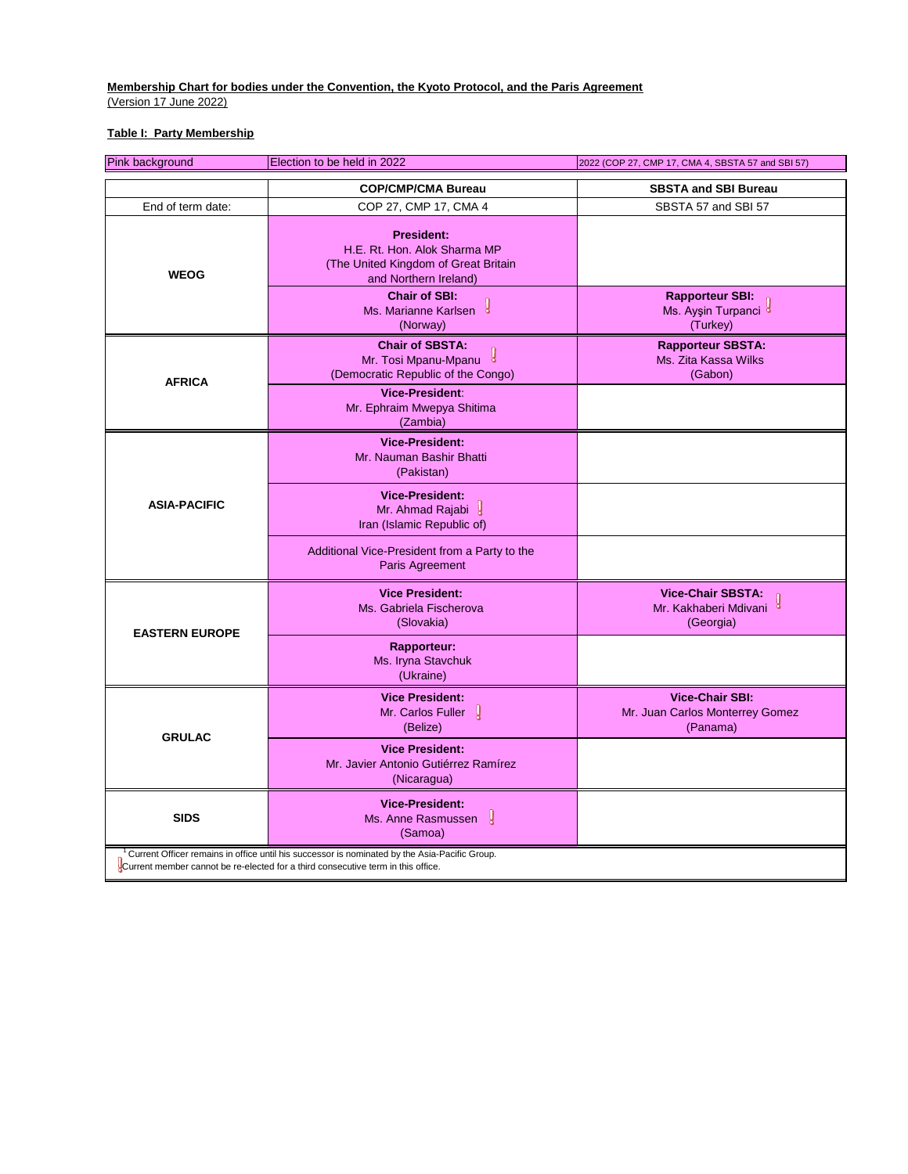## **Table I: Party Membership**

| Pink background       | Election to be held in 2022                                                                                                                                                                    | 2022 (COP 27, CMP 17, CMA 4, SBSTA 57 and SBI 57)                     |
|-----------------------|------------------------------------------------------------------------------------------------------------------------------------------------------------------------------------------------|-----------------------------------------------------------------------|
|                       | <b>COP/CMP/CMA Bureau</b>                                                                                                                                                                      | <b>SBSTA and SBI Bureau</b>                                           |
| End of term date:     | COP 27, CMP 17, CMA 4                                                                                                                                                                          | SBSTA 57 and SBI 57                                                   |
| <b>WEOG</b>           | <b>President:</b><br>H.E. Rt. Hon. Alok Sharma MP<br>(The United Kingdom of Great Britain<br>and Northern Ireland)<br><b>Chair of SBI:</b><br>Ms. Marianne Karlsen                             | <b>Rapporteur SBI:</b>                                                |
|                       | (Norway)                                                                                                                                                                                       | Ms. Ayşin Turpanci <sup>8</sup><br>(Turkey)                           |
| <b>AFRICA</b>         | <b>Chair of SBSTA:</b><br>y<br>Mr. Tosi Mpanu-Mpanu<br>(Democratic Republic of the Congo)<br><b>Vice-President:</b>                                                                            | <b>Rapporteur SBSTA:</b><br>Ms. Zita Kassa Wilks<br>(Gabon)           |
|                       | Mr. Ephraim Mwepya Shitima<br>(Zambia)                                                                                                                                                         |                                                                       |
|                       | <b>Vice-President:</b><br>Mr. Nauman Bashir Bhatti<br>(Pakistan)                                                                                                                               |                                                                       |
| <b>ASIA-PACIFIC</b>   | <b>Vice-President:</b><br>Mr. Ahmad Rajabi<br>Iran (Islamic Republic of)                                                                                                                       |                                                                       |
|                       | Additional Vice-President from a Party to the<br>Paris Agreement                                                                                                                               |                                                                       |
| <b>EASTERN EUROPE</b> | <b>Vice President:</b><br>Ms. Gabriela Fischerova<br>(Slovakia)                                                                                                                                | <b>Vice-Chair SBSTA:</b><br>Mr. Kakhaberi Mdivani<br>(Georgia)        |
|                       | <b>Rapporteur:</b><br>Ms. Iryna Stavchuk<br>(Ukraine)                                                                                                                                          |                                                                       |
| <b>GRULAC</b>         | <b>Vice President:</b><br>Mr. Carlos Fuller  <br>(Belize)                                                                                                                                      | <b>Vice-Chair SBI:</b><br>Mr. Juan Carlos Monterrey Gomez<br>(Panama) |
|                       | <b>Vice President:</b><br>Mr. Javier Antonio Gutiérrez Ramírez<br>(Nicaragua)                                                                                                                  |                                                                       |
| <b>SIDS</b>           | <b>Vice-President:</b><br>y<br>Ms. Anne Rasmussen<br>(Samoa)                                                                                                                                   |                                                                       |
|                       | <sup>1</sup> Current Officer remains in office until his successor is nominated by the Asia-Pacific Group.<br>Current member cannot be re-elected for a third consecutive term in this office. |                                                                       |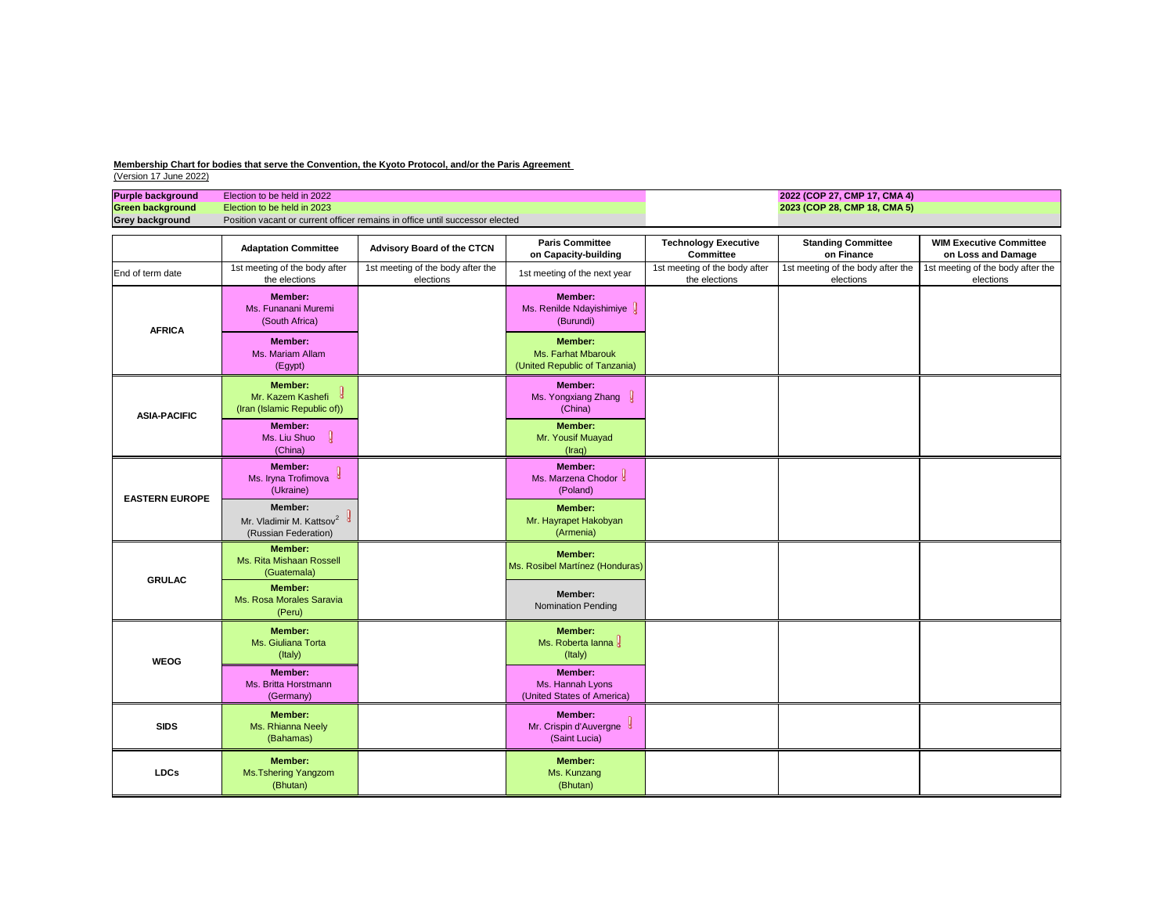| <b>Purple background</b> | Election to be held in 2022                                                  | 2022 (CO |
|--------------------------|------------------------------------------------------------------------------|----------|
| Green background         | Election to be held in 2023                                                  | 2023 (CO |
| <b>Grey background</b>   | Position vacant or current officer remains in office until successor elected |          |

| <b>Purple background</b> | Election to be held in 2022                                                    |                                                                              | 2022 (COP 27, CMP 17, CMA 4)                                                 |                                                 |                                                |                                                      |
|--------------------------|--------------------------------------------------------------------------------|------------------------------------------------------------------------------|------------------------------------------------------------------------------|-------------------------------------------------|------------------------------------------------|------------------------------------------------------|
| <b>Green background</b>  | Election to be held in 2023                                                    |                                                                              |                                                                              |                                                 | 2023 (COP 28, CMP 18, CMA 5)                   |                                                      |
| <b>Grey background</b>   |                                                                                | Position vacant or current officer remains in office until successor elected |                                                                              |                                                 |                                                |                                                      |
|                          | <b>Adaptation Committee</b>                                                    | <b>Advisory Board of the CTCN</b>                                            | <b>Paris Committee</b><br>on Capacity-building                               | <b>Technology Executive</b><br><b>Committee</b> | <b>Standing Committee</b><br>on Finance        | <b>WIM Executive Committee</b><br>on Loss and Damage |
| End of term date         | 1st meeting of the body after<br>the elections                                 | 1st meeting of the body after the<br>elections                               | 1st meeting of the next year                                                 | 1st meeting of the body after<br>the elections  | 1st meeting of the body after the<br>elections | 1st meeting of the body after the<br>elections       |
| <b>AFRICA</b>            | <b>Member:</b><br>Ms. Funanani Muremi<br>(South Africa)                        |                                                                              | <b>Member:</b><br>Ms. Renilde Ndayishimiye J<br>(Burundi)                    |                                                 |                                                |                                                      |
|                          | <b>Member:</b><br>Ms. Mariam Allam<br>(Egypt)                                  |                                                                              | <b>Member:</b><br><b>Ms. Farhat Mbarouk</b><br>(United Republic of Tanzania) |                                                 |                                                |                                                      |
| <b>ASIA-PACIFIC</b>      | <b>Member:</b><br>Mr. Kazem Kashefi &<br>(Iran (Islamic Republic of))          |                                                                              | <b>Member:</b><br>Ms. Yongxiang Zhang $\int$<br>(China)                      |                                                 |                                                |                                                      |
|                          | <b>Member:</b><br>Ms. Liu Shuo<br>(China)                                      |                                                                              | <b>Member:</b><br>Mr. Yousif Muayad<br>$($ raq $)$                           |                                                 |                                                |                                                      |
| <b>EASTERN EUROPE</b>    | <b>Member:</b><br>Ms. Iryna Trofimova<br>(Ukraine)                             |                                                                              | <b>Member:</b><br>Ms. Marzena Chodor &<br>(Poland)                           |                                                 |                                                |                                                      |
|                          | <b>Member:</b><br>Mr. Vladimir M. Kattsov <sup>2</sup><br>(Russian Federation) |                                                                              | <b>Member:</b><br>Mr. Hayrapet Hakobyan<br>(Armenia)                         |                                                 |                                                |                                                      |
| <b>GRULAC</b>            | <b>Member:</b><br>Ms. Rita Mishaan Rossell<br>(Guatemala)                      |                                                                              | <b>Member:</b><br>Ms. Rosibel Martínez (Honduras)                            |                                                 |                                                |                                                      |
|                          | <b>Member:</b><br>Ms. Rosa Morales Saravia<br>(Peru)                           |                                                                              | Member:<br><b>Nomination Pending</b>                                         |                                                 |                                                |                                                      |
| <b>WEOG</b>              | <b>Member:</b><br>Ms. Giuliana Torta<br>(Italy)                                |                                                                              | <b>Member:</b><br>Ms. Roberta lanna<br>(Italy)                               |                                                 |                                                |                                                      |
|                          | <b>Member:</b><br>Ms. Britta Horstmann<br>(Germany)                            |                                                                              | <b>Member:</b><br>Ms. Hannah Lyons<br>(United States of America)             |                                                 |                                                |                                                      |
| <b>SIDS</b>              | <b>Member:</b><br>Ms. Rhianna Neely<br>(Bahamas)                               |                                                                              | <b>Member:</b><br>Mr. Crispin d'Auvergne<br>(Saint Lucia)                    |                                                 |                                                |                                                      |
| <b>LDCs</b>              | <b>Member:</b><br><b>Ms. Tshering Yangzom</b><br>(Bhutan)                      |                                                                              | Member:<br>Ms. Kunzang<br>(Bhutan)                                           |                                                 |                                                |                                                      |

**Membership Chart for bodies that serve the Convention, the Kyoto Protocol, and/or the Paris Agreement** 

(Version 17 June 2022)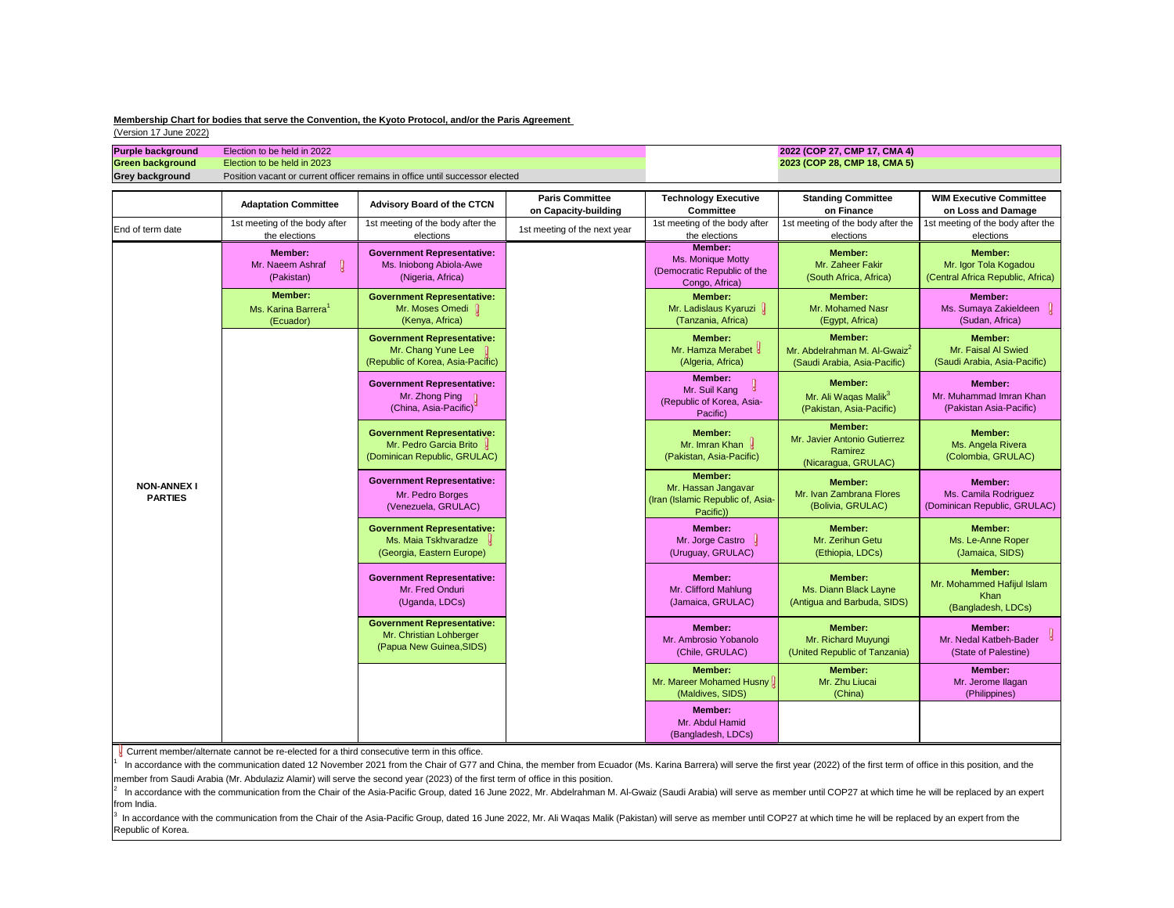nunication from the Chair of the Asia-Pacific Group, dated 16 June 2022, Mr. Abdelrahman M. Al-Gwaiz (Saudi Arabia) will serve as member until COP27 at which time he will be replaced by an expe from India.

 $3$  In accordance with the communication from the Chair of the Asia-Pacific Group, dated 16 June 2022, Mr. Ali Waqas Malik (Pakistan) will serve as member until COP27 at which time he will be replaced by an expert from th Republic of Korea.

| <b>Purple background</b><br>Green background<br><b>Grey background</b> | Election to be held in 2022<br>Election to be held in 2023                                 | Position vacant or current officer remains in office until successor elected                                                                                                                                                                                                                                                                                                                                                                                                                                                                                                                       |                                                |                                                                                         | 2022 (COP 27, CMP 17, CMA 4)<br>2023 (COP 28, CMP 18, CMA 5)                               |                                                                                   |
|------------------------------------------------------------------------|--------------------------------------------------------------------------------------------|----------------------------------------------------------------------------------------------------------------------------------------------------------------------------------------------------------------------------------------------------------------------------------------------------------------------------------------------------------------------------------------------------------------------------------------------------------------------------------------------------------------------------------------------------------------------------------------------------|------------------------------------------------|-----------------------------------------------------------------------------------------|--------------------------------------------------------------------------------------------|-----------------------------------------------------------------------------------|
|                                                                        | <b>Adaptation Committee</b>                                                                | <b>Advisory Board of the CTCN</b>                                                                                                                                                                                                                                                                                                                                                                                                                                                                                                                                                                  | <b>Paris Committee</b><br>on Capacity-building | <b>Technology Executive</b><br><b>Committee</b>                                         | <b>Standing Committee</b><br>on Finance                                                    | <b>WIM Executive Committee</b><br>on Loss and Damage                              |
| End of term date                                                       | 1st meeting of the body after<br>the elections                                             | 1st meeting of the body after the<br>elections                                                                                                                                                                                                                                                                                                                                                                                                                                                                                                                                                     | 1st meeting of the next year                   | 1st meeting of the body after<br>the elections                                          | 1st meeting of the body after the<br>elections                                             | 1st meeting of the body after the<br>elections                                    |
|                                                                        | <b>Member:</b><br>$\mathbf{Q}$<br>Mr. Naeem Ashraf<br>(Pakistan)                           | <b>Government Representative:</b><br>Ms. Iniobong Abiola-Awe<br>(Nigeria, Africa)                                                                                                                                                                                                                                                                                                                                                                                                                                                                                                                  |                                                | <b>Member:</b><br>Ms. Monique Motty<br>(Democratic Republic of the<br>Congo, Africa)    | <b>Member:</b><br>Mr. Zaheer Fakir<br>(South Africa, Africa)                               | <b>Member:</b><br>Mr. Igor Tola Kogadou<br>(Central Africa Republic, Africa)      |
|                                                                        | <b>Member:</b><br>Ms. Karina Barrera <sup>1</sup><br>(Ecuador)                             | <b>Government Representative:</b><br>Mr. Moses Omedi  <br>(Kenya, Africa)                                                                                                                                                                                                                                                                                                                                                                                                                                                                                                                          |                                                | <b>Member:</b><br>Mr. Ladislaus Kyaruzi  <br>(Tanzania, Africa)                         | <b>Member:</b><br>Mr. Mohamed Nasr<br>(Egypt, Africa)                                      | <b>Member:</b><br>Ms. Sumaya Zakieldeen<br>(Sudan, Africa)                        |
|                                                                        |                                                                                            | <b>Government Representative:</b><br>Mr. Chang Yune Lee<br>(Republic of Korea, Asia-Pacific)                                                                                                                                                                                                                                                                                                                                                                                                                                                                                                       |                                                | <b>Member:</b><br>Mr. Hamza Merabet &<br>(Algeria, Africa)                              | <b>Member:</b><br>Mr. Abdelrahman M. Al-Gwaiz <sup>2</sup><br>(Saudi Arabia, Asia-Pacific) | <b>Member:</b><br>Mr. Faisal Al Swied<br>(Saudi Arabia, Asia-Pacific)             |
|                                                                        |                                                                                            | <b>Government Representative:</b><br>Mr. Zhong Ping<br>(China, Asia-Pacific) <sup>°</sup>                                                                                                                                                                                                                                                                                                                                                                                                                                                                                                          |                                                | Member:<br>Mr. Suil Kang<br>(Republic of Korea, Asia-<br>Pacific)                       | <b>Member:</b><br>Mr. Ali Waqas Malik <sup>3</sup><br>(Pakistan, Asia-Pacific)             | <b>Member:</b><br>Mr. Muhammad Imran Khan<br>(Pakistan Asia-Pacific)              |
|                                                                        |                                                                                            | <b>Government Representative:</b><br>Mr. Pedro Garcia Brito U<br>(Dominican Republic, GRULAC)                                                                                                                                                                                                                                                                                                                                                                                                                                                                                                      |                                                | <b>Member:</b><br>Mr. Imran Khan<br>(Pakistan, Asia-Pacific)                            | <b>Member:</b><br>Mr. Javier Antonio Gutierrez<br>Ramirez<br>(Nicaragua, GRULAC)           | <b>Member:</b><br>Ms. Angela Rivera<br>(Colombia, GRULAC)                         |
| <b>NON-ANNEX I</b><br><b>PARTIES</b>                                   |                                                                                            | <b>Government Representative:</b><br>Mr. Pedro Borges<br>(Venezuela, GRULAC)                                                                                                                                                                                                                                                                                                                                                                                                                                                                                                                       |                                                | <b>Member:</b><br>Mr. Hassan Jangavar<br>(Iran (Islamic Republic of, Asia-<br>Pacific)) | <b>Member:</b><br>Mr. Ivan Zambrana Flores<br>(Bolivia, GRULAC)                            | <b>Member:</b><br>Ms. Camila Rodriguez<br>(Dominican Republic, GRULAC)            |
|                                                                        |                                                                                            | <b>Government Representative:</b><br>Ms. Maia Tskhvaradze<br>(Georgia, Eastern Europe)                                                                                                                                                                                                                                                                                                                                                                                                                                                                                                             |                                                | <b>Member:</b><br>Mr. Jorge Castro<br>(Uruguay, GRULAC)                                 | <b>Member:</b><br>Mr. Zerihun Getu<br>(Ethiopia, LDCs)                                     | <b>Member:</b><br>Ms. Le-Anne Roper<br>(Jamaica, SIDS)                            |
|                                                                        |                                                                                            | <b>Government Representative:</b><br>Mr. Fred Onduri<br>(Uganda, LDCs)                                                                                                                                                                                                                                                                                                                                                                                                                                                                                                                             |                                                | Member:<br>Mr. Clifford Mahlung<br>(Jamaica, GRULAC)                                    | <b>Member:</b><br>Ms. Diann Black Layne<br>(Antigua and Barbuda, SIDS)                     | <b>Member:</b><br>Mr. Mohammed Hafijul Islam<br><b>Khan</b><br>(Bangladesh, LDCs) |
|                                                                        |                                                                                            | <b>Government Representative:</b><br>Mr. Christian Lohberger<br>(Papua New Guinea, SIDS)                                                                                                                                                                                                                                                                                                                                                                                                                                                                                                           |                                                | <b>Member:</b><br>Mr. Ambrosio Yobanolo<br>(Chile, GRULAC)                              | <b>Member:</b><br>Mr. Richard Muyungi<br>(United Republic of Tanzania)                     | <b>Member:</b><br>Mr. Nedal Katbeh-Bader<br>(State of Palestine)                  |
|                                                                        |                                                                                            |                                                                                                                                                                                                                                                                                                                                                                                                                                                                                                                                                                                                    |                                                | <b>Member:</b><br>Mr. Mareer Mohamed Husny<br>(Maldives, SIDS)                          | <b>Member:</b><br>Mr. Zhu Liucai<br>(China)                                                | <b>Member:</b><br>Mr. Jerome Ilagan<br>(Philippines)                              |
|                                                                        |                                                                                            |                                                                                                                                                                                                                                                                                                                                                                                                                                                                                                                                                                                                    |                                                | <b>Member:</b><br>Mr. Abdul Hamid<br>(Bangladesh, LDCs)                                 |                                                                                            |                                                                                   |
|                                                                        | Current member/alternate cannot be re-elected for a third consecutive term in this office. | In accordance with the communication dated 12 November 2021 from the Chair of G77 and China, the member from Ecuador (Ms. Karina Barrera) will serve the first year (2022) of the first term of office in this position, and t<br>member from Saudi Arabia (Mr. Abdulaziz Alamir) will serve the second year (2023) of the first term of office in this position.<br>$^{2}$ In accordance with the communication from the Chair of the Asia-Pacific Group, dated 16 June 2022. Mr. Abdelrahman M. Al-Gwaiz (Saudi Arabia) will serve as member until COP27 at which time he will be replaced by an |                                                |                                                                                         |                                                                                            |                                                                                   |

I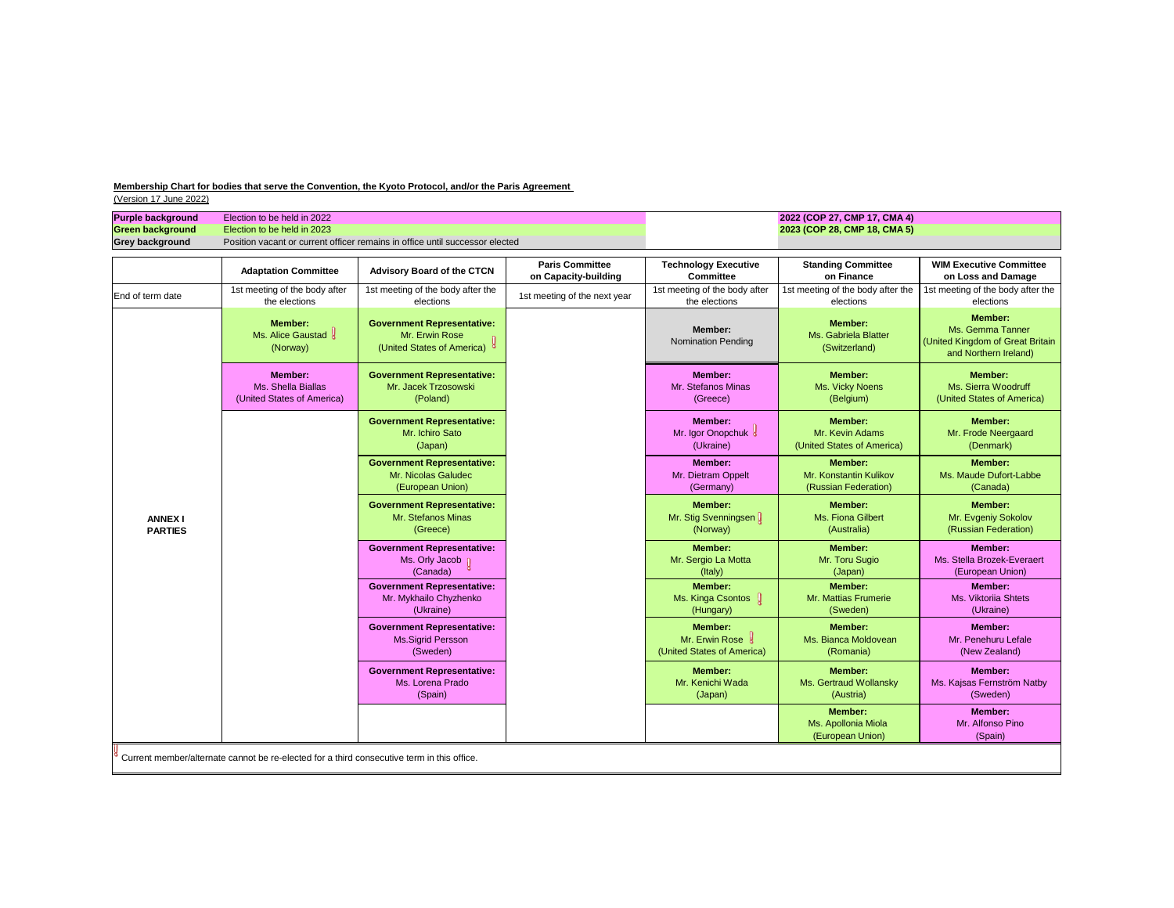| Green background<br><b>Grey background</b> | Election to be held in 2022<br>Election to be held in 2023         | Position vacant or current officer remains in office until successor elected        |                                                |                                                                  | 2022 (COP 27, CMP 17, CMA 4)<br>2023 (COP 28, CMP 18, CMA 5)     |                                                                                                 |
|--------------------------------------------|--------------------------------------------------------------------|-------------------------------------------------------------------------------------|------------------------------------------------|------------------------------------------------------------------|------------------------------------------------------------------|-------------------------------------------------------------------------------------------------|
|                                            | <b>Adaptation Committee</b>                                        | <b>Advisory Board of the CTCN</b>                                                   | <b>Paris Committee</b><br>on Capacity-building | <b>Technology Executive</b><br><b>Committee</b>                  | <b>Standing Committee</b><br>on Finance                          | <b>WIM Executive Committee</b><br>on Loss and Damage                                            |
| End of term date                           | 1st meeting of the body after<br>the elections                     | 1st meeting of the body after the<br>elections                                      | 1st meeting of the next year                   | 1st meeting of the body after<br>the elections                   | 1st meeting of the body after the<br>elections                   | 1st meeting of the body after the<br>elections                                                  |
|                                            | <b>Member:</b><br>Ms. Alice Gaustad<br>(Norway)                    | <b>Government Representative:</b><br>Mr. Erwin Rose<br>(United States of America) 8 |                                                | <b>Member:</b><br><b>Nomination Pending</b>                      | <b>Member:</b><br>Ms. Gabriela Blatter<br>(Switzerland)          | <b>Member:</b><br>Ms. Gemma Tanner<br>(United Kingdom of Great Britain<br>and Northern Ireland) |
|                                            | <b>Member:</b><br>Ms. Shella Biallas<br>(United States of America) | <b>Government Representative:</b><br>Mr. Jacek Trzosowski<br>(Poland)               |                                                | <b>Member:</b><br>Mr. Stefanos Minas<br>(Greece)                 | <b>Member:</b><br>Ms. Vicky Noens<br>(Belgium)                   | <b>Member:</b><br>Ms. Sierra Woodruff<br>(United States of America)                             |
|                                            |                                                                    | <b>Government Representative:</b><br>Mr. Ichiro Sato<br>(Japan)                     |                                                | <b>Member:</b><br>Mr. Igor Onopchuk &<br>(Ukraine)               | <b>Member:</b><br>Mr. Kevin Adams<br>(United States of America)  | <b>Member:</b><br>Mr. Frode Neergaard<br>(Denmark)                                              |
|                                            |                                                                    | <b>Government Representative:</b><br>Mr. Nicolas Galudec<br>(European Union)        |                                                | <b>Member:</b><br>Mr. Dietram Oppelt<br>(Germany)                | <b>Member:</b><br>Mr. Konstantin Kulikov<br>(Russian Federation) | <b>Member:</b><br>Ms. Maude Dufort-Labbe<br>(Canada)                                            |
| <b>ANNEX I</b><br><b>PARTIES</b>           |                                                                    | <b>Government Representative:</b><br>Mr. Stefanos Minas<br>(Greece)                 |                                                | <b>Member:</b><br>Mr. Stig Svenningsen<br>(Norway)               | <b>Member:</b><br>Ms. Fiona Gilbert<br>(Australia)               | <b>Member:</b><br>Mr. Evgeniy Sokolov<br>(Russian Federation)                                   |
|                                            |                                                                    | <b>Government Representative:</b><br>Ms. Orly Jacob<br>(Canada)                     |                                                | <b>Member:</b><br>Mr. Sergio La Motta<br>(Italy)                 | <b>Member:</b><br>Mr. Toru Sugio<br>(Japan)                      | Member:<br>Ms. Stella Brozek-Everaert<br>(European Union)                                       |
|                                            |                                                                    | <b>Government Representative:</b><br>Mr. Mykhailo Chyzhenko<br>(Ukraine)            |                                                | <b>Member:</b><br>Ms. Kinga Csontos<br>(Hungary)                 | <b>Member:</b><br>Mr. Mattias Frumerie<br>(Sweden)               | <b>Member:</b><br>Ms. Viktoriia Shtets<br>(Ukraine)                                             |
|                                            |                                                                    | <b>Government Representative:</b><br>Ms.Sigrid Persson<br>(Sweden)                  |                                                | <b>Member:</b><br>Mr. Erwin Rose &<br>(United States of America) | <b>Member:</b><br>Ms. Bianca Moldovean<br>(Romania)              | Member:<br>Mr. Penehuru Lefale<br>(New Zealand)                                                 |
|                                            |                                                                    | <b>Government Representative:</b><br>Ms. Lorena Prado<br>(Spain)                    |                                                | <b>Member:</b><br>Mr. Kenichi Wada<br>(Japan)                    | <b>Member:</b><br>Ms. Gertraud Wollansky<br>(Austria)            | <b>Member:</b><br>Ms. Kajsas Fernström Natby<br>(Sweden)                                        |
|                                            |                                                                    |                                                                                     |                                                |                                                                  | <b>Member:</b><br>Ms. Apollonia Miola<br>(European Union)        | Member:<br>Mr. Alfonso Pino<br>(Spain)                                                          |

be re-elected for a third consecu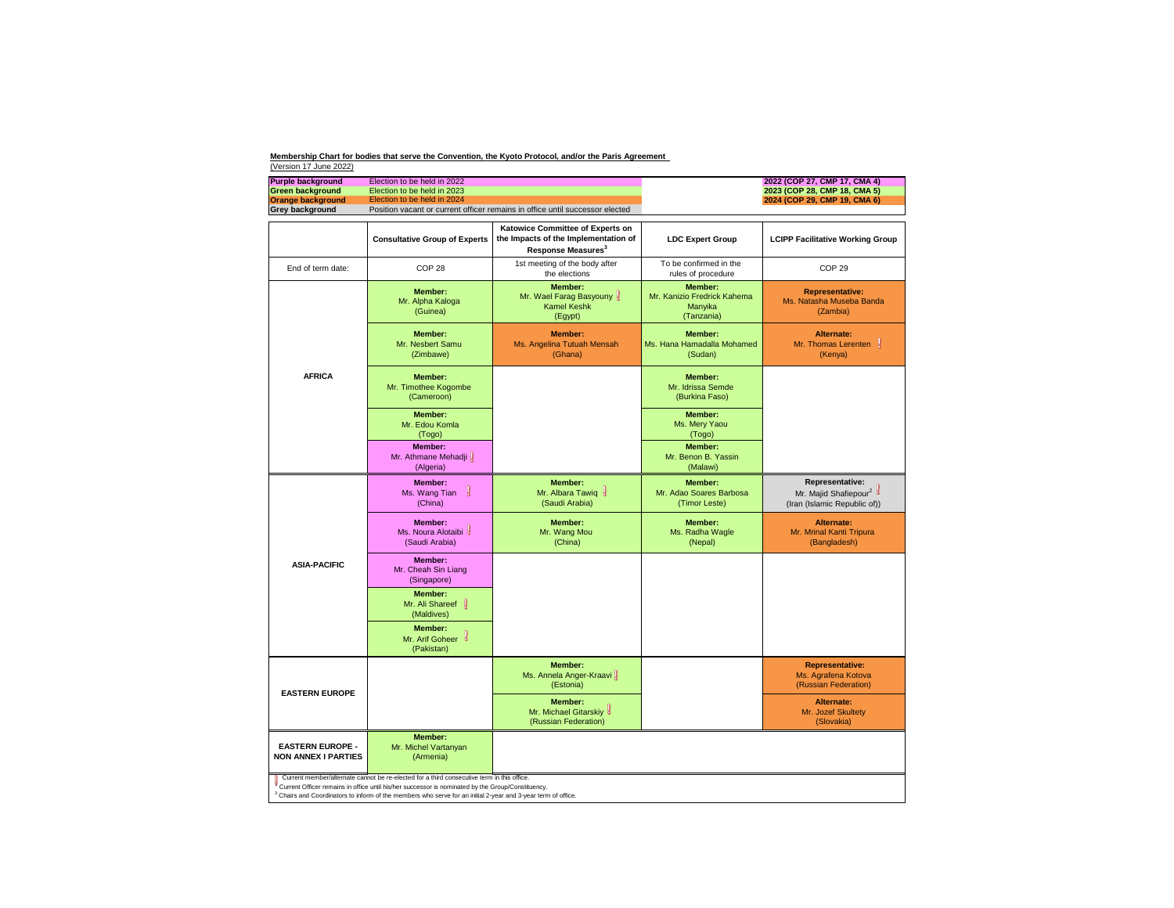| <b>Purple background</b>                              | Election to be held in 2022                                                                                                                                                                                                                                                                                                 |                                                                                                            |                                                                        | 2022 (COP 27, CMP 17, CMA 4)                                                                |
|-------------------------------------------------------|-----------------------------------------------------------------------------------------------------------------------------------------------------------------------------------------------------------------------------------------------------------------------------------------------------------------------------|------------------------------------------------------------------------------------------------------------|------------------------------------------------------------------------|---------------------------------------------------------------------------------------------|
| <b>Green background</b>                               | Election to be held in 2023                                                                                                                                                                                                                                                                                                 |                                                                                                            |                                                                        | 2023 (COP 28, CMP 18, CMA 5)                                                                |
| <b>Orange background</b>                              | Election to be held in 2024                                                                                                                                                                                                                                                                                                 |                                                                                                            |                                                                        | 2024 (COP 29, CMP 19, CMA 6)                                                                |
| <b>Grey background</b>                                |                                                                                                                                                                                                                                                                                                                             | Position vacant or current officer remains in office until successor elected                               |                                                                        |                                                                                             |
|                                                       | <b>Consultative Group of Experts</b>                                                                                                                                                                                                                                                                                        | Katowice Committee of Experts on<br>the Impacts of the Implementation of<br>Response Measures <sup>3</sup> | <b>LDC Expert Group</b>                                                | <b>LCIPP Facilitative Working Group</b>                                                     |
| End of term date:                                     | COP <sub>28</sub>                                                                                                                                                                                                                                                                                                           | 1st meeting of the body after<br>the elections                                                             | To be confirmed in the<br>rules of procedure                           | COP <sub>29</sub>                                                                           |
|                                                       | <b>Member:</b><br>Mr. Alpha Kaloga<br>(Guinea)                                                                                                                                                                                                                                                                              | <b>Member:</b><br>Mr. Wael Farag Basyouny &<br><b>Kamel Keshk</b><br>(Egypt)                               | <b>Member:</b><br>Mr. Kanizio Fredrick Kahema<br>Manyika<br>(Tanzania) | <b>Representative:</b><br>Ms. Natasha Museba Banda<br>(Zambia)                              |
|                                                       | Member:<br>Mr. Nesbert Samu<br>(Zimbawe)                                                                                                                                                                                                                                                                                    | <b>Member:</b><br>Ms. Angelina Tutuah Mensah<br>(Ghana)                                                    | Member:<br>Ms. Hana Hamadalla Mohamed<br>(Sudan)                       | <b>Alternate:</b><br>Mr. Thomas Lerenten<br>(Kenya)                                         |
| <b>AFRICA</b>                                         | <b>Member:</b><br>Mr. Timothee Kogombe<br>(Cameroon)                                                                                                                                                                                                                                                                        |                                                                                                            | Member:<br>Mr. Idrissa Semde<br>(Burkina Faso)                         |                                                                                             |
|                                                       | Member:<br>Mr. Edou Komla<br>(Togo)                                                                                                                                                                                                                                                                                         |                                                                                                            | <b>Member:</b><br>Ms. Mery Yaou<br>(Togo)                              |                                                                                             |
|                                                       | <b>Member:</b><br>Mr. Athmane Mehadji<br>(Algeria)                                                                                                                                                                                                                                                                          |                                                                                                            | <b>Member:</b><br>Mr. Benon B. Yassin<br>(Malawi)                      |                                                                                             |
|                                                       | <b>Member:</b><br>$\mathbf{g}$<br>Ms. Wang Tian<br>(China)                                                                                                                                                                                                                                                                  | Member:<br>Mr. Albara Tawiq &<br>(Saudi Arabia)                                                            | <b>Member:</b><br>Mr. Adao Soares Barbosa<br>(Timor Leste)             | <b>Representative:</b><br>Mr. Majid Shafiepour <sup>2</sup><br>(Iran (Islamic Republic of)) |
|                                                       | Member:<br>Ms. Noura Alotaibi<br>(Saudi Arabia)                                                                                                                                                                                                                                                                             | <b>Member:</b><br>Mr. Wang Mou<br>(China)                                                                  | Member:<br>Ms. Radha Wagle<br>(Nepal)                                  | <b>Alternate:</b><br>Mr. Mrinal Kanti Tripura<br>(Bangladesh)                               |
| <b>ASIA-PACIFIC</b>                                   | <b>Member:</b><br>Mr. Cheah Sin Liang<br>(Singapore)                                                                                                                                                                                                                                                                        |                                                                                                            |                                                                        |                                                                                             |
|                                                       | <b>Member:</b><br>Mr. Ali Shareef<br>(Maldives)                                                                                                                                                                                                                                                                             |                                                                                                            |                                                                        |                                                                                             |
|                                                       | <b>Member:</b><br>Mr. Arif Goheer &<br>(Pakistan)                                                                                                                                                                                                                                                                           |                                                                                                            |                                                                        |                                                                                             |
| <b>EASTERN EUROPE</b>                                 |                                                                                                                                                                                                                                                                                                                             | <b>Member:</b><br>Ms. Annela Anger-Kraavi<br>(Estonia)                                                     |                                                                        | <b>Representative:</b><br>Ms. Agrafena Kotova<br>(Russian Federation)                       |
|                                                       |                                                                                                                                                                                                                                                                                                                             | <b>Member:</b><br>Mr. Michael Gitarskiy &<br>(Russian Federation)                                          |                                                                        | <b>Alternate:</b><br>Mr. Jozef Skultety<br>(Slovakia)                                       |
| <b>EASTERN EUROPE -</b><br><b>NON ANNEX I PARTIES</b> | <b>Member:</b><br>Mr. Michel Vartanyan<br>(Armenia)                                                                                                                                                                                                                                                                         |                                                                                                            |                                                                        |                                                                                             |
|                                                       | Current member/alternate cannot be re-elected for a third consecutive term in this office.<br>Current Officer remains in office until his/her successor is nominated by the Group/Constituency.<br><sup>3</sup> Chairs and Coordinators to inform of the members who serve for an initial 2-year and 3-year term of office. |                                                                                                            |                                                                        |                                                                                             |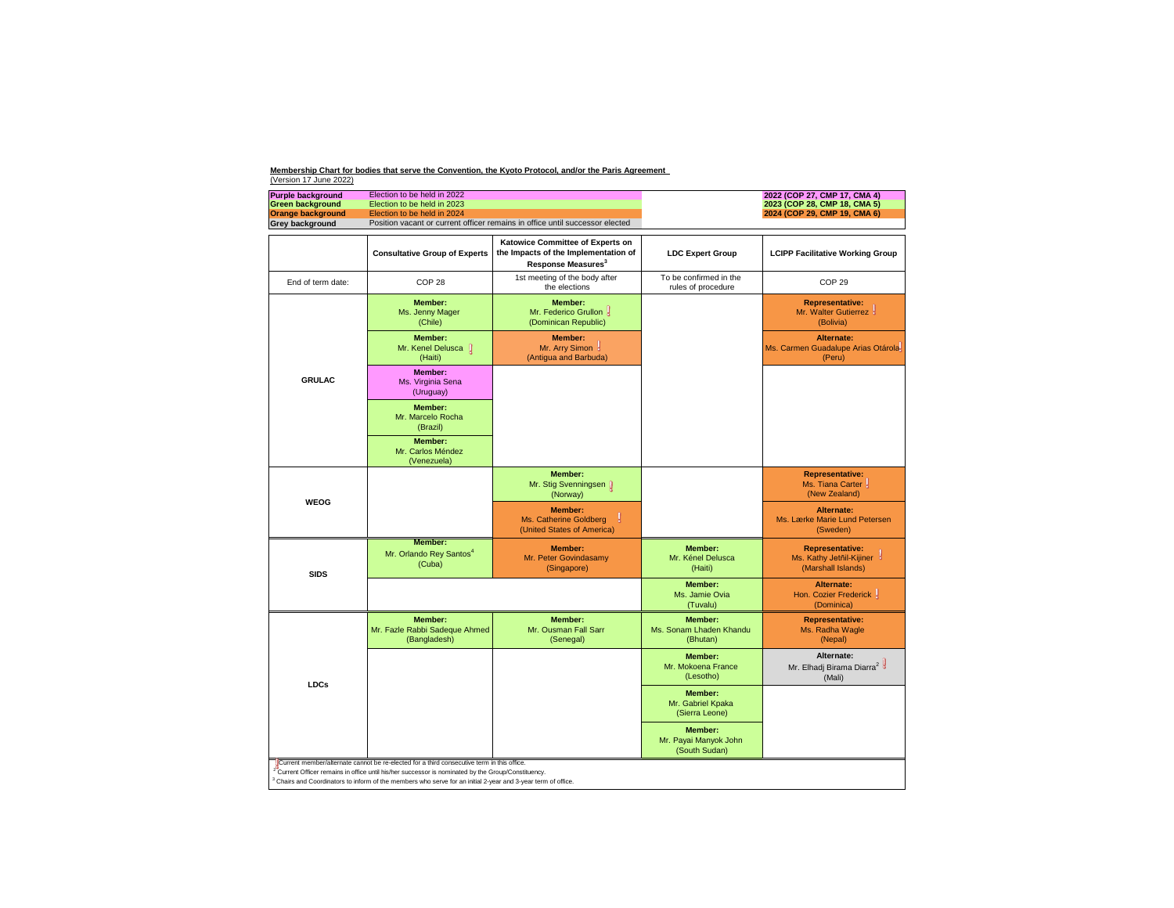|  | 2023 (COP 28, CMP 18, CMA 5)<br>2024 (COP 29, CMP 19, CMA 6) |  |  |  |
|--|--------------------------------------------------------------|--|--|--|
|  | <b>LCIPP Facilitative Working Group</b>                      |  |  |  |

| <b>Purple background</b> | Election to be held in 2022                                                                                                                                | 2022 (COP 27, CMP 17, CMA 4) |
|--------------------------|------------------------------------------------------------------------------------------------------------------------------------------------------------|------------------------------|
| <b>Green background</b>  | Election to be held in 2023                                                                                                                                | 2023 (COP 28, CMP 18, CMA 5) |
| <b>Orange background</b> | Election to be held in 2024                                                                                                                                | 2024 (COP 29, CMP 19, CMA 6) |
| <b>Grey background</b>   | Position vacant or current officer remains in office until successor elected                                                                               |                              |
|                          |                                                                                                                                                            |                              |
|                          | <b>Katowice Committee of Experts on</b><br>the contract of the contract of the contract of the contract of the contract of the contract of the contract of |                              |

|                   | <b>Consultative Group of Experts</b>                                                                                                                                                                                                                                                                                                     | Katowice Committee of Experts on<br>the Impacts of the Implementation of<br>Response Measures <sup>3</sup> | <b>LDC Expert Group</b>                                  | <b>LCIPP Facilitative Working Group</b>                                    |
|-------------------|------------------------------------------------------------------------------------------------------------------------------------------------------------------------------------------------------------------------------------------------------------------------------------------------------------------------------------------|------------------------------------------------------------------------------------------------------------|----------------------------------------------------------|----------------------------------------------------------------------------|
| End of term date: | COP <sub>28</sub>                                                                                                                                                                                                                                                                                                                        | 1st meeting of the body after<br>the elections                                                             | To be confirmed in the<br>rules of procedure             | COP <sub>29</sub>                                                          |
|                   | <b>Member:</b><br>Ms. Jenny Mager<br>(Chile)                                                                                                                                                                                                                                                                                             | <b>Member:</b><br>Mr. Federico Grullon &<br>(Dominican Republic)                                           |                                                          | <b>Representative:</b><br>Mr. Walter Gutierrez &<br>(Bolivia)              |
|                   | <b>Member:</b><br>Mr. Kenel Delusca $\int$<br>(Haiti)                                                                                                                                                                                                                                                                                    | <b>Member:</b><br>Mr. Arry Simon y<br>(Antigua and Barbuda)                                                |                                                          | Alternate:<br>Ms. Carmen Guadalupe Arias Otárola-<br>(Peru)                |
| <b>GRULAC</b>     | <b>Member:</b><br>Ms. Virginia Sena<br>(Uruguay)                                                                                                                                                                                                                                                                                         |                                                                                                            |                                                          |                                                                            |
|                   | <b>Member:</b><br>Mr. Marcelo Rocha<br>(Brazil)                                                                                                                                                                                                                                                                                          |                                                                                                            |                                                          |                                                                            |
|                   | <b>Member:</b><br>Mr. Carlos Méndez<br>(Venezuela)                                                                                                                                                                                                                                                                                       |                                                                                                            |                                                          |                                                                            |
| <b>WEOG</b>       |                                                                                                                                                                                                                                                                                                                                          | <b>Member:</b><br>Mr. Stig Svenningsen []<br>(Norway)                                                      |                                                          | <b>Representative:</b><br>Ms. Tiana Carter<br>(New Zealand)                |
|                   |                                                                                                                                                                                                                                                                                                                                          | <b>Member:</b><br>Ms. Catherine Goldberg<br>(United States of America)                                     |                                                          | <b>Alternate:</b><br>Ms. Lærke Marie Lund Petersen<br>(Sweden)             |
| <b>SIDS</b>       | <b>Member:</b><br>Mr. Orlando Rey Santos <sup>4</sup><br>(Cuba)                                                                                                                                                                                                                                                                          | <b>Member:</b><br>Mr. Peter Govindasamy<br>(Singapore)                                                     | <b>Member:</b><br>Mr. Kénel Delusca<br>(Haiti)           | <b>Representative:</b><br>Ms. Kathy Jetnil-Kijiner &<br>(Marshall Islands) |
|                   |                                                                                                                                                                                                                                                                                                                                          |                                                                                                            | <b>Member:</b><br>Ms. Jamie Ovia<br>(Tuvalu)             | <b>Alternate:</b><br>Hon. Cozier Frederick<br>(Dominica)                   |
|                   | <b>Member:</b><br>Mr. Fazle Rabbi Sadeque Ahmed<br>(Bangladesh)                                                                                                                                                                                                                                                                          | <b>Member:</b><br>Mr. Ousman Fall Sarr<br>(Senegal)                                                        | <b>Member:</b><br>Ms. Sonam Lhaden Khandu<br>(Bhutan)    | <b>Representative:</b><br>Ms. Radha Wagle<br>(Nepal)                       |
| <b>LDCs</b>       |                                                                                                                                                                                                                                                                                                                                          |                                                                                                            | <b>Member:</b><br>Mr. Mokoena France<br>(Lesotho)        | Alternate:<br>Mr. Elhadj Birama Diarra <sup>2</sup><br>(Mali)              |
|                   |                                                                                                                                                                                                                                                                                                                                          |                                                                                                            | <b>Member:</b><br>Mr. Gabriel Kpaka<br>(Sierra Leone)    |                                                                            |
|                   |                                                                                                                                                                                                                                                                                                                                          |                                                                                                            | <b>Member:</b><br>Mr. Payai Manyok John<br>(South Sudan) |                                                                            |
|                   | Current member/alternate cannot be re-elected for a third consecutive term in this office.<br><sup>2</sup> Current Officer remains in office until his/her successor is nominated by the Group/Constituency.<br><sup>3</sup> Chairs and Coordinators to inform of the members who serve for an initial 2-year and 3-year term of office. |                                                                                                            |                                                          |                                                                            |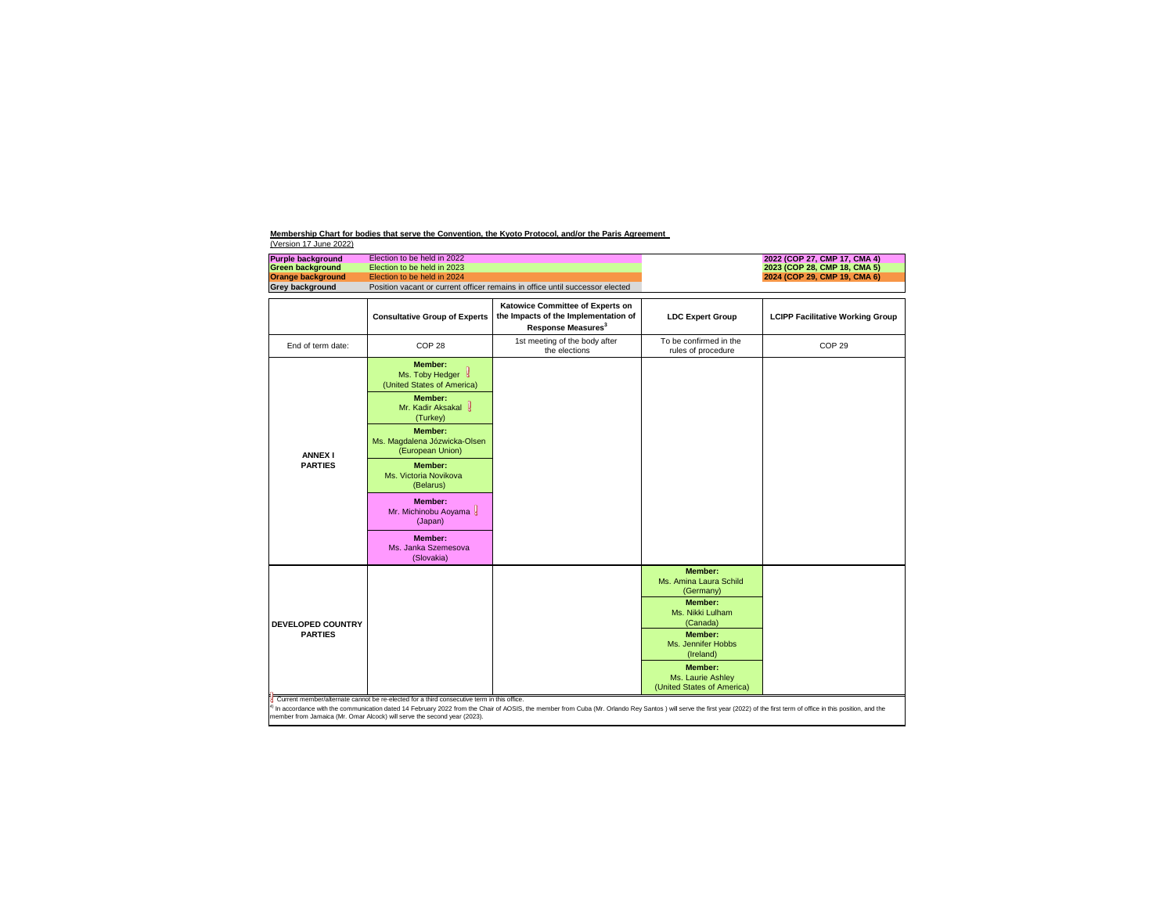| <b>Purple background</b><br><b>Green background</b> | Election to be held in 2022<br>Election to be held in 2023                                 |                                                                                                            |                                                                   | 2022 (COP 27, CMP 17, CMA 4)<br>2023 (COP 28, CMP 18, CMA 5) |
|-----------------------------------------------------|--------------------------------------------------------------------------------------------|------------------------------------------------------------------------------------------------------------|-------------------------------------------------------------------|--------------------------------------------------------------|
| <b>Orange background</b>                            | Election to be held in 2024                                                                |                                                                                                            |                                                                   | 2024 (COP 29, CMP 19, CMA 6)                                 |
| <b>Grey background</b>                              |                                                                                            | Position vacant or current officer remains in office until successor elected                               |                                                                   |                                                              |
|                                                     | <b>Consultative Group of Experts</b>                                                       | Katowice Committee of Experts on<br>the Impacts of the Implementation of<br>Response Measures <sup>3</sup> | <b>LDC Expert Group</b>                                           | <b>LCIPP Facilitative Working Group</b>                      |
| End of term date:                                   | COP <sub>28</sub>                                                                          | 1st meeting of the body after<br>the elections                                                             | To be confirmed in the<br>rules of procedure                      | COP <sub>29</sub>                                            |
|                                                     | <b>Member:</b><br>Ms. Toby Hedger &<br>(United States of America)                          |                                                                                                            |                                                                   |                                                              |
|                                                     | <b>Member:</b><br>Mr. Kadir Aksakal<br>(Turkey)                                            |                                                                                                            |                                                                   |                                                              |
| <b>ANNEX I</b>                                      | <b>Member:</b><br>Ms. Magdalena Józwicka-Olsen<br>(European Union)                         |                                                                                                            |                                                                   |                                                              |
| <b>PARTIES</b>                                      | <b>Member:</b><br>Ms. Victoria Novikova<br>(Belarus)                                       |                                                                                                            |                                                                   |                                                              |
|                                                     | <b>Member:</b><br>Mr. Michinobu Aoyama<br>(Japan)                                          |                                                                                                            |                                                                   |                                                              |
|                                                     | <b>Member:</b><br>Ms. Janka Szemesova<br>(Slovakia)                                        |                                                                                                            |                                                                   |                                                              |
|                                                     |                                                                                            |                                                                                                            | <b>Member:</b><br>Ms. Amina Laura Schild<br>(Germany)             |                                                              |
| <b>DEVELOPED COUNTRY</b>                            |                                                                                            |                                                                                                            | <b>Member:</b><br>Ms. Nikki Lulham<br>(Canada)                    |                                                              |
| <b>PARTIES</b>                                      |                                                                                            |                                                                                                            | <b>Member:</b><br>Ms. Jennifer Hobbs<br>(Ireland)                 |                                                              |
|                                                     |                                                                                            |                                                                                                            | <b>Member:</b><br>Ms. Laurie Ashley<br>(United States of America) |                                                              |
|                                                     | Current member/alternate cannot be re-elected for a third consecutive term in this office. |                                                                                                            |                                                                   |                                                              |

member from Jamaica (Mr. Omar Alcock) will serve the second year (2023).

 $4)$  In accordance with the communication dated 14 February 2022 from the Chair of AOSIS, the member from Cuba (Mr. Orlando Rey Santos) will serve the first year (2022) of the first term of office in this position, and th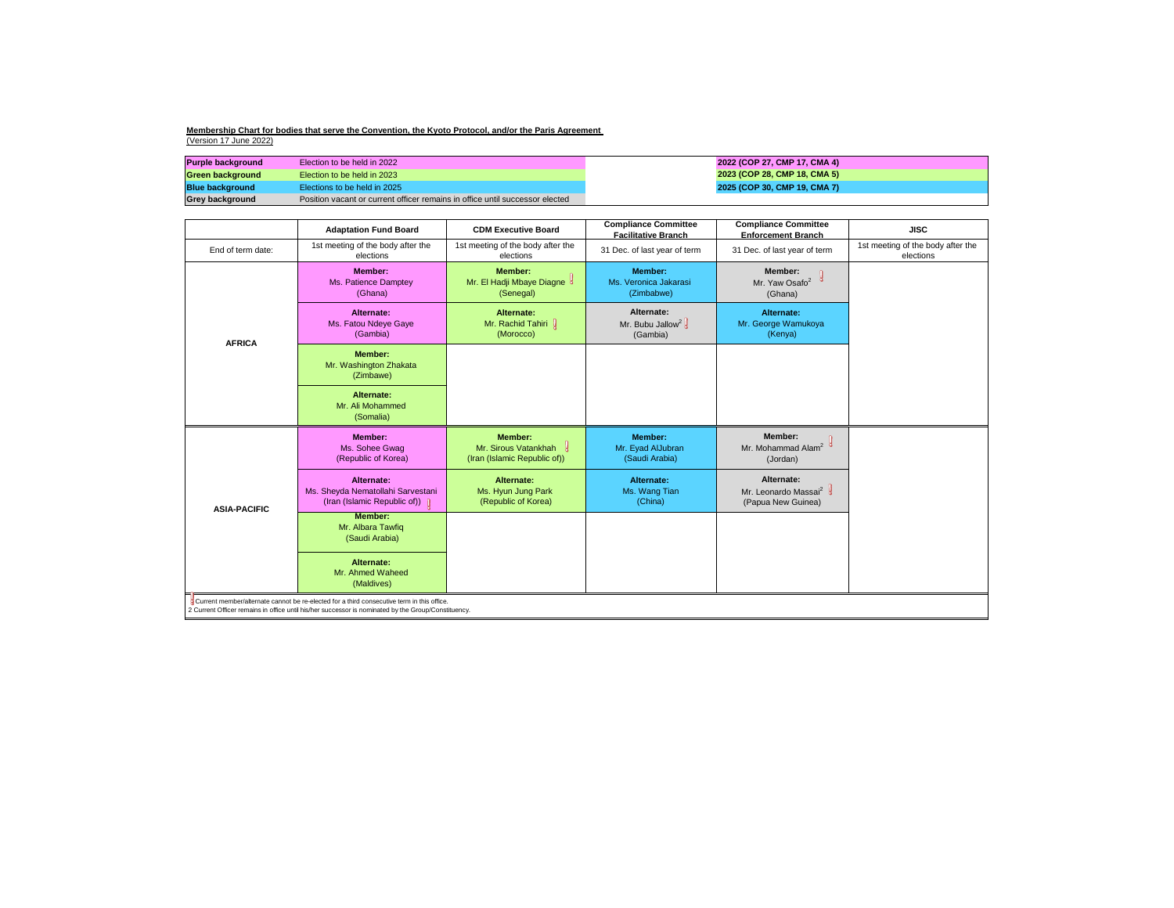| <b>Compliance Committee</b><br><b>Enforcement Branch</b>             | <b>JISC</b>                                    |
|----------------------------------------------------------------------|------------------------------------------------|
| 31 Dec. of last year of term                                         | 1st meeting of the body after the<br>elections |
| Member:<br>y<br>Mr. Yaw Osafo <sup>2</sup><br>(Ghana)                |                                                |
| Alternate:<br>Mr. George Wamukoya<br>(Kenya)                         |                                                |
|                                                                      |                                                |
|                                                                      |                                                |
| <b>Member:</b><br>Mr. Mohammad Alam <sup>2</sup><br>(Jordan)         |                                                |
| Alternate:<br>Mr. Leonardo Massai <sup>2</sup><br>(Papua New Guinea) |                                                |
|                                                                      |                                                |
|                                                                      |                                                |
|                                                                      |                                                |

| <b>Purple background</b> | Election to be held in 2022                                                  | 2022 (COP 27, CMP 17, CMA 4) |
|--------------------------|------------------------------------------------------------------------------|------------------------------|
| <b>Green background</b>  | Election to be held in 2023                                                  | 2023 (COP 28, CMP 18, CMA 5) |
| <b>Blue background</b>   | Elections to be held in 2025                                                 | 2025 (COP 30, CMP 19, CMA 7) |
| <b>Grey background</b>   | Position vacant or current officer remains in office until successor elected |                              |

|                     | <b>Adaptation Fund Board</b>                                                      | <b>CDM Executive Board</b>                                               | <b>Compliance Committee</b><br><b>Facilitative Branch</b> | <b>Compliance Committee</b><br><b>Enforcement Branch</b>             |
|---------------------|-----------------------------------------------------------------------------------|--------------------------------------------------------------------------|-----------------------------------------------------------|----------------------------------------------------------------------|
| End of term date:   | 1st meeting of the body after the<br>elections                                    | 1st meeting of the body after the<br>elections                           | 31 Dec. of last year of term                              | 31 Dec. of last year of term                                         |
|                     | <b>Member:</b><br>Ms. Patience Damptey<br>(Ghana)                                 | <b>Member:</b><br>Mr. El Hadji Mbaye Diagne<br>(Senegal)                 | <b>Member:</b><br>Ms. Veronica Jakarasi<br>(Zimbabwe)     | <b>Member:</b><br>ď<br>Mr. Yaw Osafo <sup>2</sup><br>(Ghana)         |
| <b>AFRICA</b>       | <b>Alternate:</b><br>Ms. Fatou Ndeye Gaye<br>(Gambia)                             | <b>Alternate:</b><br>Mr. Rachid Tahiri  <br>(Morocco)                    | Alternate:<br>Mr. Bubu Jallow <sup>2</sup><br>(Gambia)    | Alternate:<br>Mr. George Wamukoya<br>(Kenya)                         |
|                     | <b>Member:</b><br>Mr. Washington Zhakata<br>(Zimbawe)                             |                                                                          |                                                           |                                                                      |
|                     | <b>Alternate:</b><br>Mr. Ali Mohammed<br>(Somalia)                                |                                                                          |                                                           |                                                                      |
|                     |                                                                                   |                                                                          |                                                           |                                                                      |
|                     | <b>Member:</b><br>Ms. Sohee Gwag<br>(Republic of Korea)                           | <b>Member:</b><br>Mr. Sirous Vatankhah &<br>(Iran (Islamic Republic of)) | <b>Member:</b><br>Mr. Eyad AlJubran<br>(Saudi Arabia)     | <b>Member:</b><br>Mr. Mohammad Alam <sup>2</sup><br>(Jordan)         |
|                     | Alternate:<br>Ms. Sheyda Nematollahi Sarvestani<br>(Iran (Islamic Republic of)) [ | Alternate:<br>Ms. Hyun Jung Park<br>(Republic of Korea)                  | <b>Alternate:</b><br>Ms. Wang Tian<br>(China)             | Alternate:<br>Mr. Leonardo Massai <sup>2</sup><br>(Papua New Guinea) |
| <b>ASIA-PACIFIC</b> | <b>Member:</b><br>Mr. Albara Tawfiq<br>(Saudi Arabia)                             |                                                                          |                                                           |                                                                      |
|                     | <b>Alternate:</b><br>Mr. Ahmed Waheed<br>(Maldives)                               |                                                                          |                                                           |                                                                      |

2 Current Officer remains in office until his/her successor is nominated by the Group/Constituency.

**Membership Chart for bodies that serve the Convention, the Kyoto Protocol, and/or the Paris Agreement**  (Version 17 June 2022)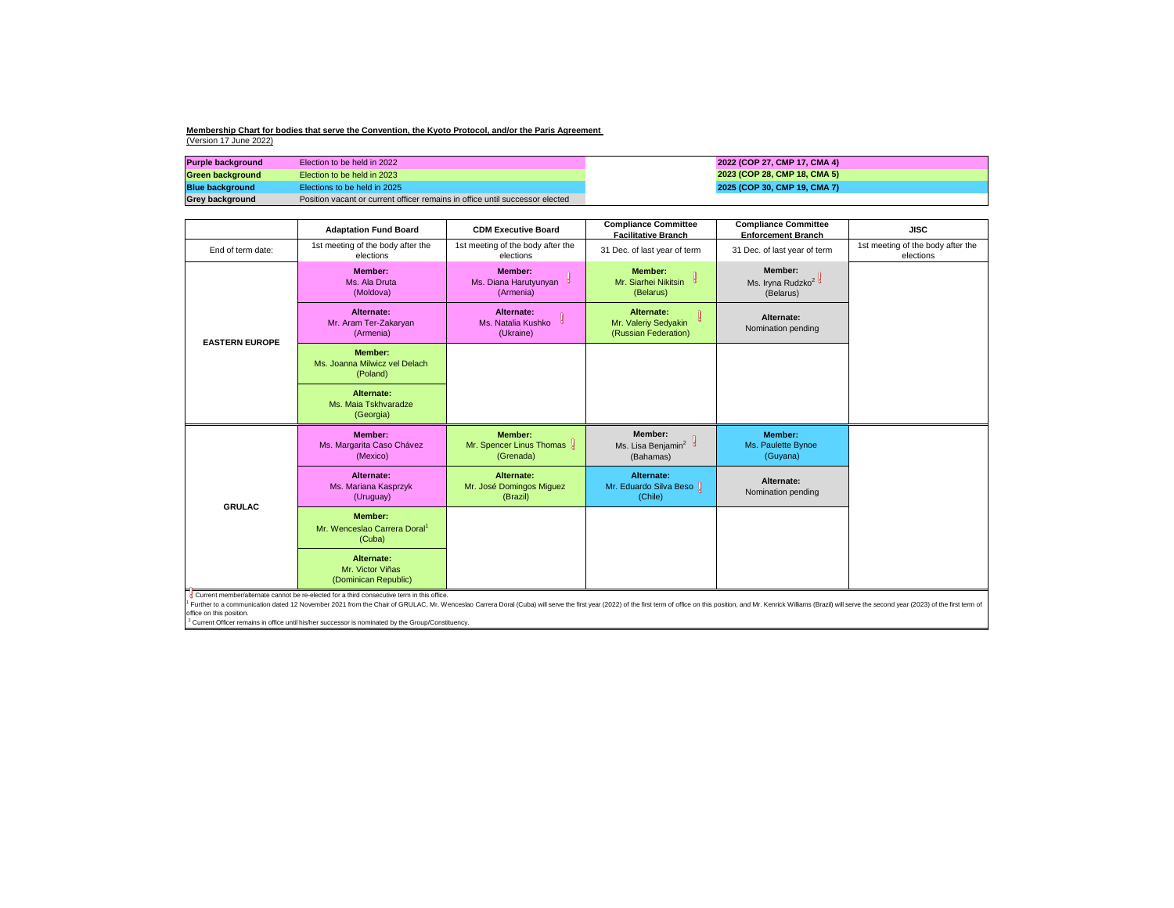| <b>Purple background</b> | Election to be held in 2022                                                  | 2022 (COP 27, CMP 17, CMA 4) |
|--------------------------|------------------------------------------------------------------------------|------------------------------|
| Green background_        | Election to be held in 2023                                                  | 2023 (COP 28, CMP 18, CMA 5) |
| <b>Blue background</b>   | Elections to be held in 2025                                                 | 2025 (COP 30, CMP 19, CMA 7) |
| <b>Grey background</b>   | Position vacant or current officer remains in office until successor elected |                              |

| <b>Compliance Committee</b><br><b>Enforcement Branch</b>     | <b>JISC</b>                                                                                |
|--------------------------------------------------------------|--------------------------------------------------------------------------------------------|
| 31 Dec. of last year of term                                 | 1st meeting of the body after the<br>elections                                             |
| <b>Member:</b><br>Ms. Iryna Rudzko <sup>2</sup><br>(Belarus) |                                                                                            |
| Alternate:<br>Nomination pending                             |                                                                                            |
|                                                              |                                                                                            |
|                                                              |                                                                                            |
| <b>Member:</b><br>Ms. Paulette Bynoe<br>(Guyana)             |                                                                                            |
| Alternate:<br>Nomination pending                             |                                                                                            |
|                                                              |                                                                                            |
|                                                              |                                                                                            |
|                                                              | , and Mr. Kenrick Williams (Brazil) will serve the second year (2023) of the first term of |

<sup>1</sup> Further to a communication dated 12 November 2021 from the Chair of GRULAC, Mr. Wenceslao Carrera Doral (Cuba) will serve the first year (2022) of the first term of office on this position, and Mr. Kenrick Williams (Br office on this position.

 $2$  Current Officer remains in office until his/her successor is nominated by the Group/Constituency.

|                       | <b>Adaptation Fund Board</b>                                         | <b>CDM Executive Board</b>                                | <b>Compliance Committee</b><br><b>Facilitative Branch</b>         | <b>Compliance Committee</b><br><b>Enforcement Branch</b>     |
|-----------------------|----------------------------------------------------------------------|-----------------------------------------------------------|-------------------------------------------------------------------|--------------------------------------------------------------|
| End of term date:     | 1st meeting of the body after the<br>elections                       | 1st meeting of the body after the<br>elections            | 31 Dec. of last year of term                                      | 31 Dec. of last year of term                                 |
|                       | <b>Member:</b><br>Ms. Ala Druta<br>(Moldova)                         | <b>Member:</b><br>g<br>Ms. Diana Harutyunyan<br>(Armenia) | <b>Member:</b><br>Mr. Siarhei Nikitsin<br>(Belarus)               | <b>Member:</b><br>Ms. Iryna Rudzko <sup>2</sup><br>(Belarus) |
| <b>EASTERN EUROPE</b> | Alternate:<br>Mr. Aram Ter-Zakaryan<br>(Armenia)                     | Alternate:<br>Q<br>Ms. Natalia Kushko<br>(Ukraine)        | <b>Alternate:</b><br>Mr. Valeriy Sedyakin<br>(Russian Federation) | Alternate:<br>Nomination pending                             |
|                       | <b>Member:</b><br>Ms. Joanna Milwicz vel Delach<br>(Poland)          |                                                           |                                                                   |                                                              |
|                       | <b>Alternate:</b><br>Ms. Maia Tskhvaradze<br>(Georgia)               |                                                           |                                                                   |                                                              |
| <b>GRULAC</b>         | <b>Member:</b><br>Ms. Margarita Caso Chávez<br>(Mexico)              | <b>Member:</b><br>Mr. Spencer Linus Thomas &<br>(Grenada) | Member:<br>Ms. Lisa Benjamin <sup>2</sup><br>(Bahamas)            | <b>Member:</b><br>Ms. Paulette Bynoe<br>(Guyana)             |
|                       | Alternate:<br>Ms. Mariana Kasprzyk<br>(Uruguay)                      | <b>Alternate:</b><br>Mr. José Domingos Miguez<br>(Brazil) | <b>Alternate:</b><br>Mr. Eduardo Silva Beso J<br>(Chile)          | Alternate:<br>Nomination pending                             |
|                       | <b>Member:</b><br>Mr. Wenceslao Carrera Doral <sup>1</sup><br>(Cuba) |                                                           |                                                                   |                                                              |
|                       | <b>Alternate:</b><br>Mr. Victor Viñas<br>(Dominican Republic)        |                                                           |                                                                   |                                                              |

Current member/alternate cannot be re-elected for a third consecutive term in this office.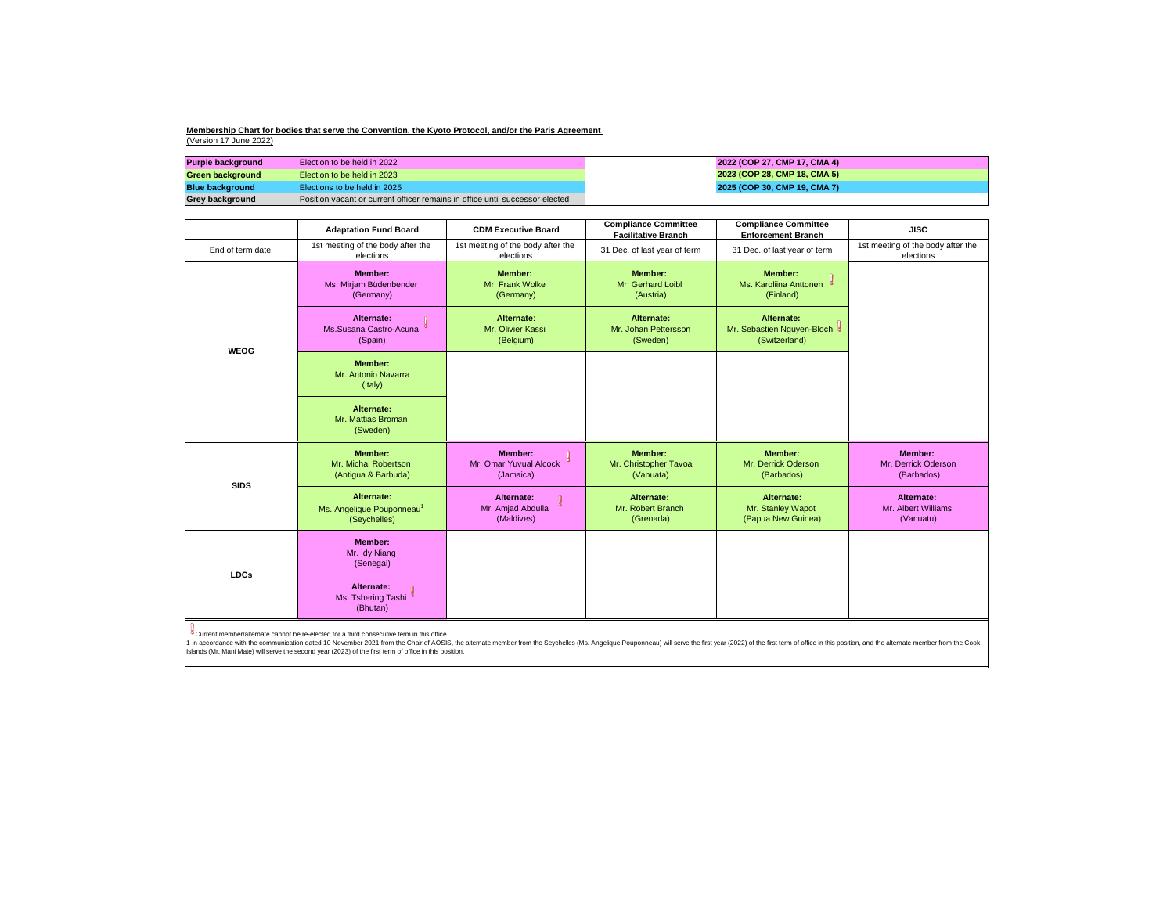| <b>Purple background</b> | Election to be held in 2022                                                  |
|--------------------------|------------------------------------------------------------------------------|
| <b>Green background</b>  | Election to be held in 2023                                                  |
| <b>Blue background</b>   | Elections to be held in 2025                                                 |
| <b>Grey background</b>   | Position vacant or current officer remains in office until successor elected |

In accordance with the communication dated 10 November 2021 from the Chair of AOSIS, the alternate member from the Seychelles (Ms. Angelique Pouponneau) will serve the first year (2022) of the first term of office in this Islands (Mr. Mani Mate) will serve the second year (2023) of the first term of office in this position.

|                                                                                                                                                                                                                                                                                                                                                        | <b>Adaptation Fund Board</b>                                        | <b>CDM Executive Board</b>                            | <b>Compliance Committee</b><br><b>Facilitative Branch</b> | <b>Compliance Committee</b><br><b>Enforcement Branch</b>    | <b>JISC</b>                                         |
|--------------------------------------------------------------------------------------------------------------------------------------------------------------------------------------------------------------------------------------------------------------------------------------------------------------------------------------------------------|---------------------------------------------------------------------|-------------------------------------------------------|-----------------------------------------------------------|-------------------------------------------------------------|-----------------------------------------------------|
| End of term date:                                                                                                                                                                                                                                                                                                                                      | 1st meeting of the body after the<br>elections                      | 1st meeting of the body after the<br>elections        | 31 Dec. of last year of term                              | 31 Dec. of last year of term                                | 1st meeting of the body after the<br>elections      |
|                                                                                                                                                                                                                                                                                                                                                        | <b>Member:</b><br>Ms. Mirjam Büdenbender<br>(Germany)               | <b>Member:</b><br>Mr. Frank Wolke<br>(Germany)        | <b>Member:</b><br>Mr. Gerhard Loibl<br>(Austria)          | <b>Member:</b><br>Ms. Karoliina Anttonen<br>(Finland)       |                                                     |
| <b>WEOG</b>                                                                                                                                                                                                                                                                                                                                            | Alternate:<br>Ms.Susana Castro-Acuna<br>(Spain)                     | Alternate:<br>Mr. Olivier Kassi<br>(Belgium)          | Alternate:<br>Mr. Johan Pettersson<br>(Sweden)            | Alternate:<br>Mr. Sebastien Nguyen-Bloch &<br>(Switzerland) |                                                     |
|                                                                                                                                                                                                                                                                                                                                                        | <b>Member:</b><br>Mr. Antonio Navarra<br>(Italy)                    |                                                       |                                                           |                                                             |                                                     |
|                                                                                                                                                                                                                                                                                                                                                        | Alternate:<br>Mr. Mattias Broman<br>(Sweden)                        |                                                       |                                                           |                                                             |                                                     |
|                                                                                                                                                                                                                                                                                                                                                        | <b>Member:</b><br>Mr. Michai Robertson<br>(Antigua & Barbuda)       | <b>Member:</b><br>Mr. Omar Yuvual Alcock<br>(Jamaica) | <b>Member:</b><br>Mr. Christopher Tavoa<br>(Vanuata)      | <b>Member:</b><br>Mr. Derrick Oderson<br>(Barbados)         | <b>Member:</b><br>Mr. Derrick Oderson<br>(Barbados) |
| <b>SIDS</b>                                                                                                                                                                                                                                                                                                                                            | Alternate:<br>Ms. Angelique Pouponneau <sup>1</sup><br>(Seychelles) | Alternate:<br>Mr. Amjad Abdulla<br>(Maldives)         | Alternate:<br>Mr. Robert Branch<br>(Grenada)              | Alternate:<br>Mr. Stanley Wapot<br>(Papua New Guinea)       | Alternate:<br>Mr. Albert Williams<br>(Vanuatu)      |
| <b>LDCs</b>                                                                                                                                                                                                                                                                                                                                            | <b>Member:</b><br>Mr. Idy Niang<br>(Senegal)                        |                                                       |                                                           |                                                             |                                                     |
|                                                                                                                                                                                                                                                                                                                                                        | Alternate:<br>Ms. Tshering Tashi <sup>d</sup><br>(Bhutan)           |                                                       |                                                           |                                                             |                                                     |
| <sup>o</sup> Current member/alternate cannot be re-elected for a third consecutive term in this office.<br>condense with the communication deted 10 November 2021 from the Choir of AOCIC, the elternate member from the Couchelles (Me<br>comic the first year (2022) of the first term of office in this position, and the offermate momber from the |                                                                     |                                                       |                                                           |                                                             |                                                     |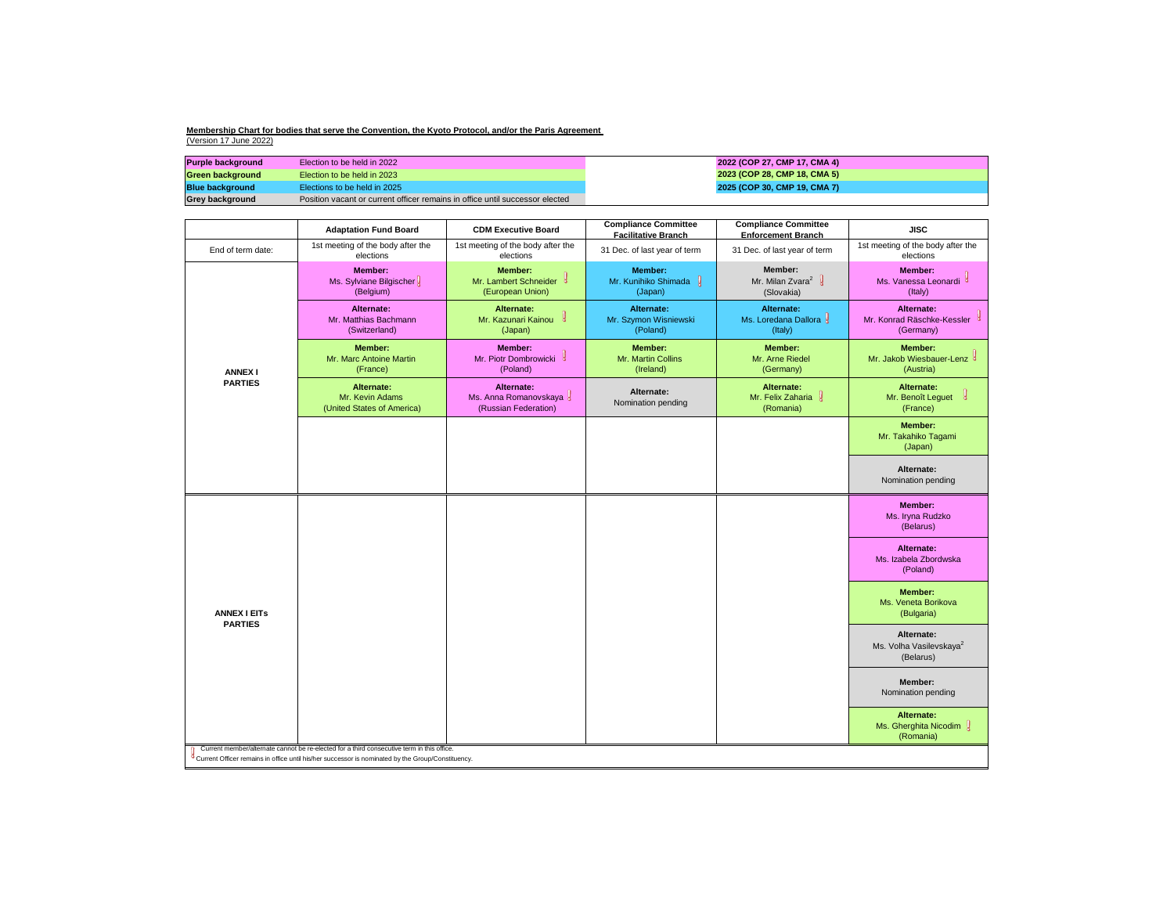| <b>Purple background</b> | Election to be held in 2022                                                  | 2022 (C) |
|--------------------------|------------------------------------------------------------------------------|----------|
| <b>Green background</b>  | Election to be held in 2023                                                  | 2023 (C) |
| <b>Blue background</b>   | Elections to be held in 2025                                                 | 2025 (C) |
| <b>Grey background</b>   | Position vacant or current officer remains in office until successor elected |          |

**Blue background in 2025 (COP 30, CMP 19, CMA 7) 2022 (COP 27, CMP 17, CMA 4) 2023 (COP 28, CMP 18, CMA 5)**

### **Membership Chart for bodies that serve the Convention, the Kyoto Protocol, and/or the Paris Agreement**  (Version 17 June 2022)

|                     | <b>Adaptation Fund Board</b>                                                               | <b>CDM Executive Board</b>                                           | <b>Compliance Committee</b><br><b>Facilitative Branch</b> | <b>Compliance Committee</b><br><b>Enforcement Branch</b>                   | <b>JISC</b>                                                          |
|---------------------|--------------------------------------------------------------------------------------------|----------------------------------------------------------------------|-----------------------------------------------------------|----------------------------------------------------------------------------|----------------------------------------------------------------------|
| End of term date:   | 1st meeting of the body after the<br>elections                                             | 1st meeting of the body after the<br>elections                       | 31 Dec. of last year of term                              | 31 Dec. of last year of term                                               | 1st meeting of the body after the<br>elections                       |
|                     | <b>Member:</b><br>Ms. Sylviane Bilgischer<br>(Belgium)                                     | <b>Member:</b><br>Mr. Lambert Schneider &<br>(European Union)        | <b>Member:</b><br>Mr. Kunihiko Shimada<br>(Japan)         | <b>Member:</b><br>Mr. Milan Zvara <sup>2</sup> $\frac{1}{8}$<br>(Slovakia) | <b>Member:</b><br>Ms. Vanessa Leonardi <sup>3</sup><br>(Italy)       |
|                     | Alternate:<br>Mr. Matthias Bachmann<br>(Switzerland)                                       | Alternate:<br>Mr. Kazunari Kainou<br>ೆ<br>(Japan)                    | Alternate:<br>Mr. Szymon Wisniewski<br>(Poland)           | <b>Alternate:</b><br>Ms. Loredana Dallora &<br>(Italy)                     | Alternate:<br>Mr. Konrad Räschke-Kessler<br>(Germany)                |
| <b>ANNEX I</b>      | <b>Member:</b><br>Mr. Marc Antoine Martin<br>(France)                                      | Member:<br>Mr. Piotr Dombrowicki<br>-g<br>(Poland)                   | <b>Member:</b><br>Mr. Martin Collins<br>(Ireland)         | <b>Member:</b><br>Mr. Arne Riedel<br>(Germany)                             | <b>Member:</b><br>Mr. Jakob Wiesbauer-Lenz <sup>8</sup><br>(Austria) |
| <b>PARTIES</b>      | <b>Alternate:</b><br>Mr. Kevin Adams<br>(United States of America)                         | <b>Alternate:</b><br>Ms. Anna Romanovskaya 8<br>(Russian Federation) | Alternate:<br>Nomination pending                          | Alternate:<br>Mr. Felix Zaharia &<br>(Romania)                             | Alternate:<br>Mr. Benoît Leguet<br>(France)                          |
|                     |                                                                                            |                                                                      |                                                           |                                                                            | <b>Member:</b><br>Mr. Takahiko Tagami<br>(Japan)                     |
|                     |                                                                                            |                                                                      |                                                           |                                                                            | Alternate:<br>Nomination pending                                     |
|                     |                                                                                            |                                                                      |                                                           |                                                                            | <b>Member:</b><br>Ms. Iryna Rudzko<br>(Belarus)                      |
|                     |                                                                                            |                                                                      |                                                           |                                                                            | Alternate:<br>Ms. Izabela Zbordwska<br>(Poland)                      |
| <b>ANNEX I EITS</b> |                                                                                            |                                                                      |                                                           |                                                                            | <b>Member:</b><br>Ms. Veneta Borikova<br>(Bulgaria)                  |
| <b>PARTIES</b>      |                                                                                            |                                                                      |                                                           |                                                                            | Alternate:<br>Ms. Volha Vasilevskaya <sup>2</sup><br>(Belarus)       |
|                     |                                                                                            |                                                                      |                                                           |                                                                            | <b>Member:</b><br>Nomination pending                                 |
|                     | Current member/alternate cannot be re-elected for a third consecutive term in this office. |                                                                      |                                                           |                                                                            | Alternate:<br>Ms. Gherghita Nicodim &<br>(Romania)                   |
|                     |                                                                                            |                                                                      |                                                           |                                                                            |                                                                      |

<sup>3</sup> Current Officer remains in office until his/her successor is nominated by the Group/Constituency.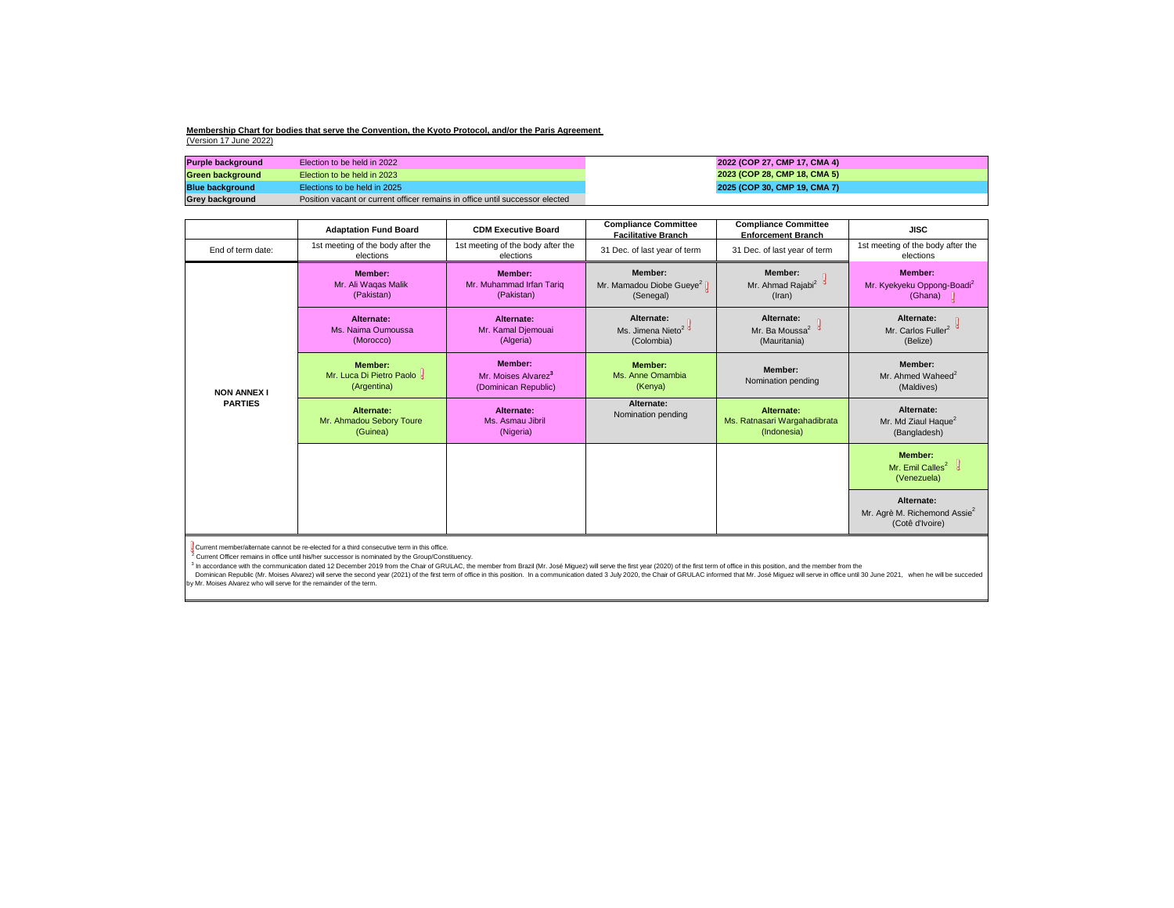| <b>Purple background</b> | Election to be held in 2022                                                  |
|--------------------------|------------------------------------------------------------------------------|
| <b>Green background</b>  | Election to be held in 2023                                                  |
| <b>Blue background</b>   | Elections to be held in 2025                                                 |
| <b>Grey background</b>   | Position vacant or current officer remains in office until successor elected |

|                                      | <b>Adaptation Fund Board</b>                                | <b>CDM Executive Board</b>                                                | <b>Compliance Committee</b><br><b>Facilitative Branch</b>                | <b>Compliance Committee</b><br><b>Enforcement Branch</b>         | <b>JISC</b>                                                                 |
|--------------------------------------|-------------------------------------------------------------|---------------------------------------------------------------------------|--------------------------------------------------------------------------|------------------------------------------------------------------|-----------------------------------------------------------------------------|
| End of term date:                    | 1st meeting of the body after the<br>elections              | 1st meeting of the body after the<br>elections                            | 31 Dec. of last year of term                                             | 31 Dec. of last year of term                                     | 1st meeting of the body after the<br>elections                              |
|                                      | <b>Member:</b><br>Mr. Ali Waqas Malik<br>(Pakistan)         | <b>Member:</b><br>Mr. Muhammad Irfan Tariq<br>(Pakistan)                  | Member:<br>Mr. Mamadou Diobe Gueye <sup>2</sup> $\parallel$<br>(Senegal) | <b>Member:</b><br>Mr. Ahmad Rajabi <sup>2</sup><br>$($ lran $)$  | <b>Member:</b><br>Mr. Kyekyeku Oppong-Boadi <sup>2</sup><br>(Ghana) U       |
|                                      | Alternate:<br>Ms. Naima Oumoussa<br>(Morocco)               | Alternate:<br>Mr. Kamal Djemouai<br>(Algeria)                             | Alternate:<br>Ms. Jimena Nieto <sup>2</sup><br>(Colombia)                | Alternate:<br>Mr. Ba Moussa <sup>2</sup><br>(Mauritania)         | Alternate:<br>Mr. Carlos Fuller <sup>2</sup><br>(Belize)                    |
| <b>NON ANNEX I</b><br><b>PARTIES</b> | <b>Member:</b><br>Mr. Luca Di Pietro Paolo &<br>(Argentina) | <b>Member:</b><br>Mr. Moises Alvarez <sup>3</sup><br>(Dominican Republic) | <b>Member:</b><br>Ms. Anne Omambia<br>(Kenya)                            | Member:<br>Nomination pending                                    | Member:<br>Mr. Ahmed Waheed <sup>2</sup><br>(Maldives)                      |
|                                      | <b>Alternate:</b><br>Mr. Ahmadou Sebory Toure<br>(Guinea)   | Alternate:<br>Ms. Asmau Jibril<br>(Nigeria)                               | Alternate:<br>Nomination pending                                         | <b>Alternate:</b><br>Ms. Ratnasari Wargahadibrata<br>(Indonesia) | Alternate:<br>Mr. Md Ziaul Haque <sup>2</sup><br>(Bangladesh)               |
|                                      |                                                             |                                                                           |                                                                          |                                                                  | <b>Member:</b><br>Mr. Emil Calles <sup>2</sup> $\frac{1}{3}$<br>(Venezuela) |
|                                      |                                                             |                                                                           |                                                                          |                                                                  | Alternate:<br>Mr. Agrè M. Richemond Assie <sup>2</sup><br>(Cotê d'Ivoire)   |
| $\mathbb{R}$                         |                                                             |                                                                           |                                                                          |                                                                  |                                                                             |

Current member/alternate cannot be re-elected for a third consecutive term in this office.

 $2$  Current Officer remains in office until his/her successor is nominated by the Group/Constituency.

<sup>3</sup> In accordance with the communication dated 12 December 2019 from the Chair of GRULAC, the member from Brazil (Mr. José Miguez) will serve the first year (2020) of the first term of office in this position, and the memb Dominican Republic (Mr. Moises Alvarez) will serve the second year (2021) of the first term of office in this position. In a communication dated 3 July 2020, the Chair of GRULAC informed that Mr. José Miguez will serve in by Mr. Moises Alvarez who will serve for the remainder of the term.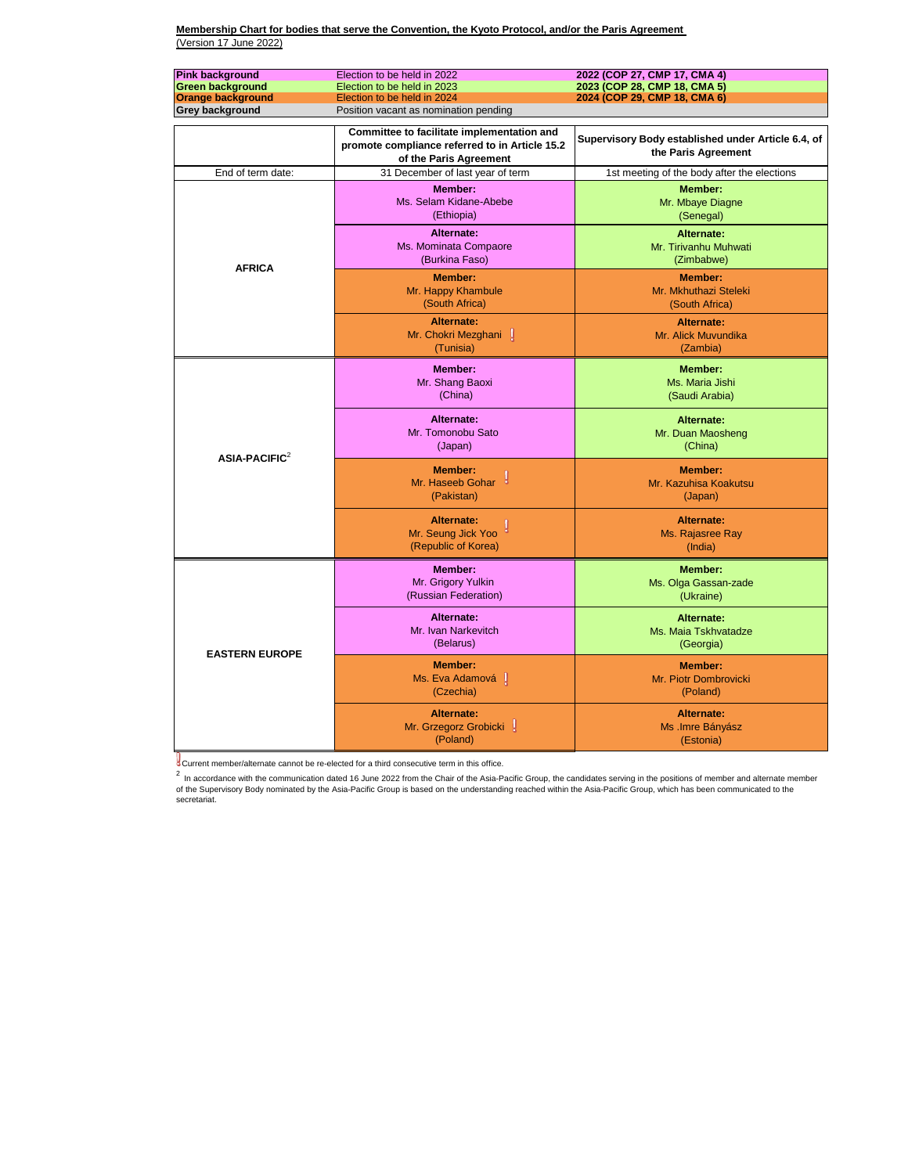2<br>In accordance with the communication dated 16 June 2022 from the Chair of the Asia-Pacific Group, the candidates serving in the positions of member and alternate member of the Supervisory Body nominated by the Asia-Pacific Group is based on the understanding reached within the Asia-Pacific Group, which has been communicated to the secretariat.

| <b>Pink background</b><br><b>Green background</b><br><b>Orange background</b><br><b>Grey background</b> | Election to be held in 2022<br>Election to be held in 2023<br>Election to be held in 2024<br>Position vacant as nomination pending | 2022 (COP 27, CMP 17, CMA 4)<br>2023 (COP 28, CMP 18, CMA 5)<br>2024 (COP 29, CMP 18, CMA 6) |
|---------------------------------------------------------------------------------------------------------|------------------------------------------------------------------------------------------------------------------------------------|----------------------------------------------------------------------------------------------|
|                                                                                                         | Committee to facilitate implementation and<br>promote compliance referred to in Article 15.2<br>of the Paris Agreement             | Supervisory Body established under Article 6.4, of<br>the Paris Agreement                    |
| End of term date:                                                                                       | 31 December of last year of term                                                                                                   | 1st meeting of the body after the elections                                                  |
|                                                                                                         | <b>Member:</b><br>Ms. Selam Kidane-Abebe<br>(Ethiopia)                                                                             | Member:<br>Mr. Mbaye Diagne<br>(Senegal)                                                     |
| <b>AFRICA</b>                                                                                           | <b>Alternate:</b><br>Ms. Mominata Compaore<br>(Burkina Faso)                                                                       | <b>Alternate:</b><br>Mr. Tirivanhu Muhwati<br>(Zimbabwe)                                     |
|                                                                                                         | <b>Member:</b><br>Mr. Happy Khambule<br>(South Africa)                                                                             | <b>Member:</b><br>Mr. Mkhuthazi Steleki<br>(South Africa)                                    |
|                                                                                                         | <b>Alternate:</b><br>Mr. Chokri Mezghani<br>(Tunisia)                                                                              | <b>Alternate:</b><br>Mr. Alick Muvundika<br>(Zambia)                                         |
|                                                                                                         | <b>Member:</b><br>Mr. Shang Baoxi<br>(China)                                                                                       | <b>Member:</b><br>Ms. Maria Jishi<br>(Saudi Arabia)                                          |
| $ASIA-PACIFIC2$                                                                                         | <b>Alternate:</b><br>Mr. Tomonobu Sato<br>(Japan)                                                                                  | <b>Alternate:</b><br>Mr. Duan Maosheng<br>(China)                                            |
|                                                                                                         | <b>Member:</b><br>Mr. Haseeb Gohar<br>(Pakistan)                                                                                   | <b>Member:</b><br>Mr. Kazuhisa Koakutsu<br>(Japan)                                           |
|                                                                                                         | Alternate:<br>Mr. Seung Jick Yoo<br>(Republic of Korea)                                                                            | Alternate:<br>Ms. Rajasree Ray<br>(India)                                                    |
|                                                                                                         | <b>Member:</b><br>Mr. Grigory Yulkin<br>(Russian Federation)                                                                       | <b>Member:</b><br>Ms. Olga Gassan-zade<br>(Ukraine)                                          |
| <b>EASTERN EUROPE</b>                                                                                   | Alternate:<br>Mr. Ivan Narkevitch<br>(Belarus)                                                                                     | <b>Alternate:</b><br>Ms. Maia Tskhvatadze<br>(Georgia)                                       |
|                                                                                                         | <b>Member:</b><br>Ms. Eva Adamová<br>(Czechia)                                                                                     | <b>Member:</b><br>Mr. Piotr Dombrovicki<br>(Poland)                                          |
|                                                                                                         | <b>Alternate:</b><br>Mr. Grzegorz Grobicki<br>(Poland)                                                                             | <b>Alternate:</b><br>Ms .Imre Bányász<br>(Estonia)                                           |

Current member/alternate cannot be re-elected for a third consecutive term in this office.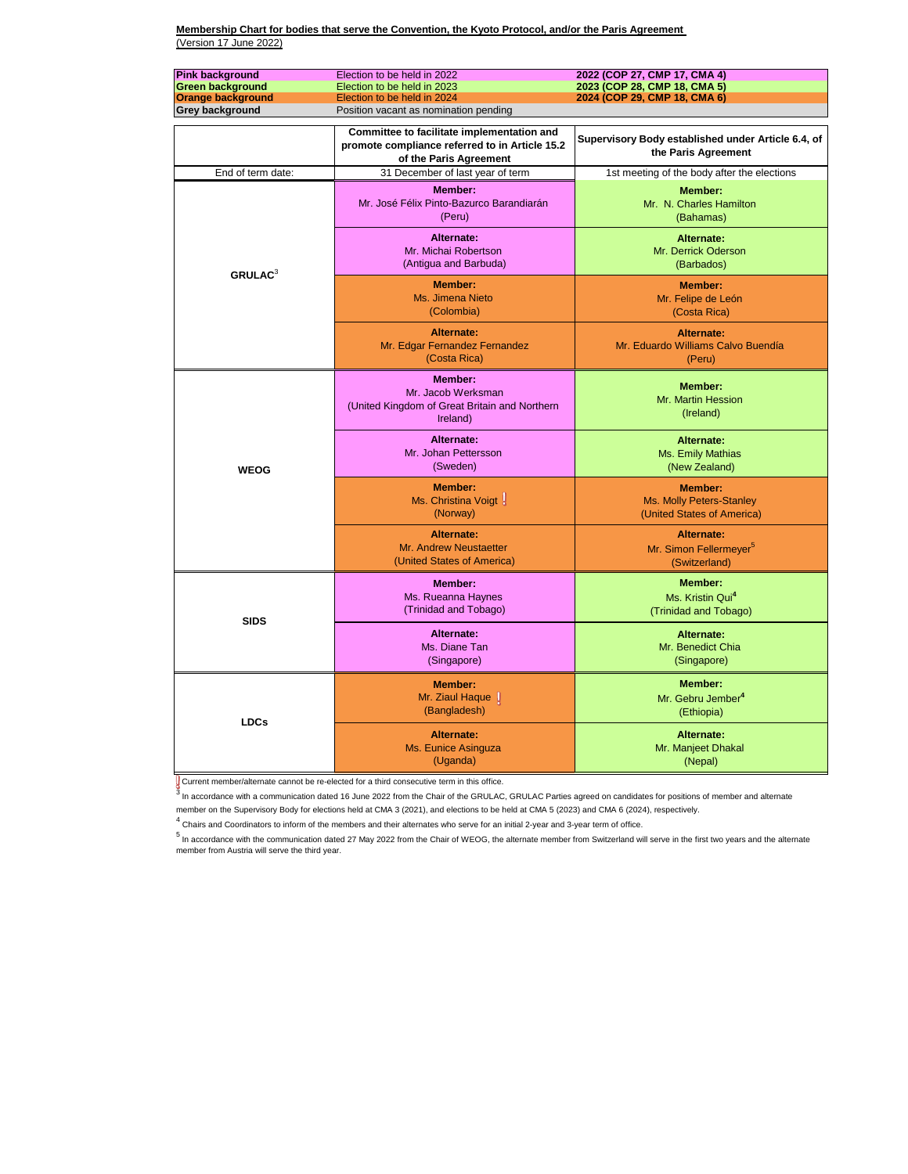<sup>3</sup>In accordance with a communication dated 16 June 2022 from the Chair of the GRULAC, GRULAC Parties agreed on candidates for positions of member and alternate member on the Supervisory Body for elections held at CMA 3 (2021), and elections to be held at CMA 5 (2023) and CMA 6 (2024), respectively.

 $^4$  Chairs and Coordinators to inform of the members and their alternates who serve for an initial 2-year and 3-year term of office.

 $<sup>5</sup>$  In accordance with the communication dated 27 May 2022 from the Chair of WEOG, the alternate member from Switzerland will serve in the first two years and the alternate</sup> member from Austria will serve the third year.

| <b>Pink background</b><br><b>Green background</b><br><b>Orange background</b> | Election to be held in 2022<br>Election to be held in 2023<br>Election to be held in 2024                                                                       | 2022 (COP 27, CMP 17, CMA 4)<br>2023 (COP 28, CMP 18, CMA 5)<br>2024 (COP 29, CMP 18, CMA 6) |
|-------------------------------------------------------------------------------|-----------------------------------------------------------------------------------------------------------------------------------------------------------------|----------------------------------------------------------------------------------------------|
| <b>Grey background</b>                                                        | Position vacant as nomination pending<br>Committee to facilitate implementation and<br>promote compliance referred to in Article 15.2<br>of the Paris Agreement | Supervisory Body established under Article 6.4, of<br>the Paris Agreement                    |
| End of term date:                                                             | 31 December of last year of term                                                                                                                                | 1st meeting of the body after the elections                                                  |
|                                                                               | <b>Member:</b><br>Mr. José Félix Pinto-Bazurco Barandiarán<br>(Peru)                                                                                            | <b>Member:</b><br>Mr. N. Charles Hamilton<br>(Bahamas)                                       |
| <b>GRULAC</b> <sup>3</sup>                                                    | <b>Alternate:</b><br>Mr. Michai Robertson<br>(Antigua and Barbuda)                                                                                              | <b>Alternate:</b><br>Mr. Derrick Oderson<br>(Barbados)                                       |
|                                                                               | <b>Member:</b><br>Ms. Jimena Nieto<br>(Colombia)                                                                                                                | <b>Member:</b><br>Mr. Felipe de León<br>(Costa Rica)                                         |
|                                                                               | Alternate:<br>Mr. Edgar Fernandez Fernandez<br>(Costa Rica)                                                                                                     | Alternate:<br>Mr. Eduardo Williams Calvo Buendía<br>(Peru)                                   |
|                                                                               | Member:<br>Mr. Jacob Werksman<br>(United Kingdom of Great Britain and Northern<br>Ireland)                                                                      | <b>Member:</b><br>Mr. Martin Hession<br>(Ireland)                                            |
| <b>WEOG</b>                                                                   | Alternate:<br>Mr. Johan Pettersson<br>(Sweden)                                                                                                                  | <b>Alternate:</b><br>Ms. Emily Mathias<br>(New Zealand)                                      |
|                                                                               | <b>Member:</b><br>Ms. Christina Voigt<br>(Norway)                                                                                                               | <b>Member:</b><br>Ms. Molly Peters-Stanley<br>(United States of America)                     |
|                                                                               | <b>Alternate:</b><br><b>Mr. Andrew Neustaetter</b><br>(United States of America)                                                                                | <b>Alternate:</b><br>Mr. Simon Fellermeyer <sup>5</sup><br>(Switzerland)                     |
| <b>SIDS</b>                                                                   | Member:<br>Ms. Rueanna Haynes<br>(Trinidad and Tobago)                                                                                                          | <b>Member:</b><br>Ms. Kristin Qui <sup>4</sup><br>(Trinidad and Tobago)                      |
|                                                                               | Alternate:<br>Ms. Diane Tan<br>(Singapore)                                                                                                                      | Alternate:<br>Mr. Benedict Chia<br>(Singapore)                                               |
| <b>LDCs</b>                                                                   | <b>Member:</b><br>Mr. Ziaul Haque<br>(Bangladesh)                                                                                                               | <b>Member:</b><br>Mr. Gebru Jember <sup>4</sup><br>(Ethiopia)                                |
|                                                                               | Alternate:<br>Ms. Eunice Asinguza<br>(Uganda)                                                                                                                   | <b>Alternate:</b><br>Mr. Manjeet Dhakal<br>(Nepal)                                           |

Current member/alternate cannot be re-elected for a third consecutive term in this office.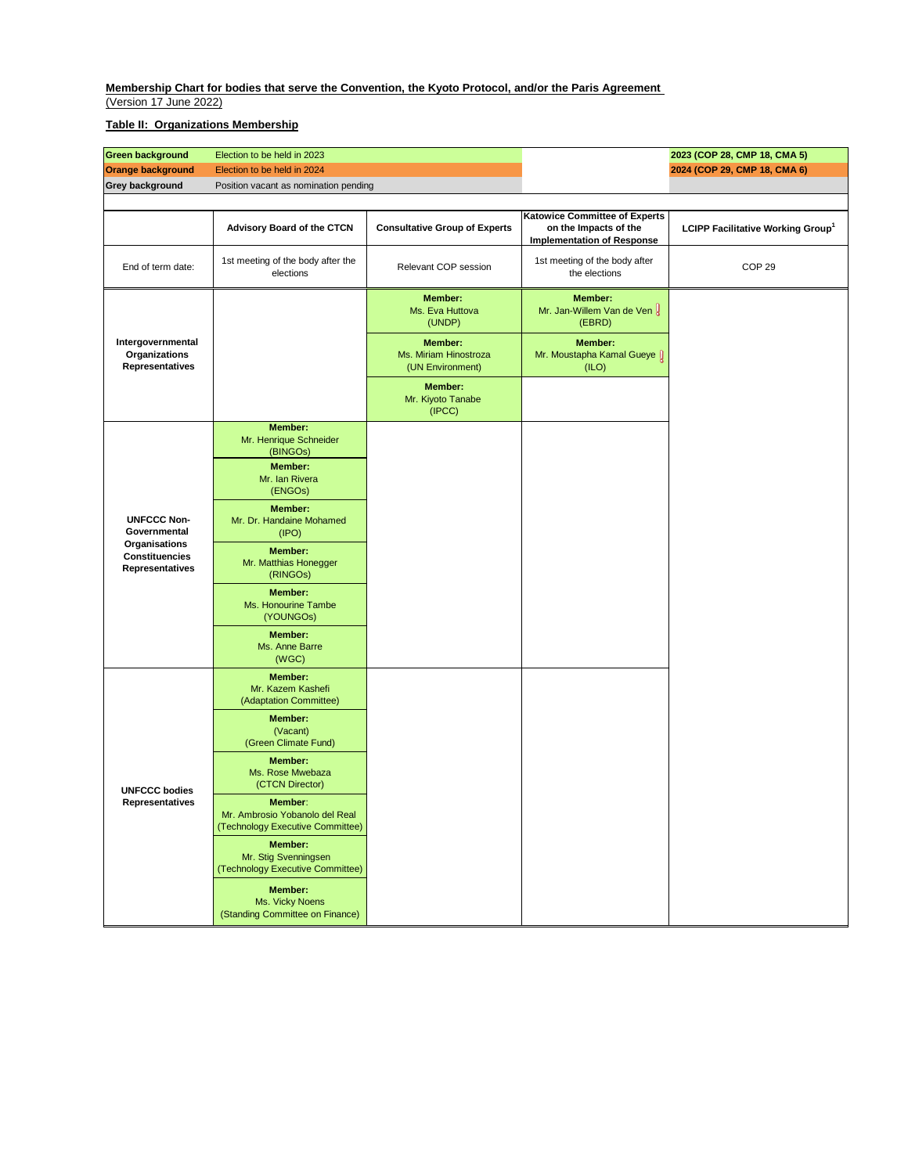| <b>Green background</b>                                                                                       | Election to be held in 2023                                                   |                                                             |                                                                                                    | 2023 (COP 28, CMP 18, CMA 5)                  |
|---------------------------------------------------------------------------------------------------------------|-------------------------------------------------------------------------------|-------------------------------------------------------------|----------------------------------------------------------------------------------------------------|-----------------------------------------------|
| <b>Orange background</b>                                                                                      | Election to be held in 2024                                                   |                                                             |                                                                                                    | 2024 (COP 29, CMP 18, CMA 6)                  |
| <b>Grey background</b>                                                                                        | Position vacant as nomination pending                                         |                                                             |                                                                                                    |                                               |
|                                                                                                               |                                                                               |                                                             |                                                                                                    |                                               |
|                                                                                                               | <b>Advisory Board of the CTCN</b>                                             | <b>Consultative Group of Experts</b>                        | <b>Katowice Committee of Experts</b><br>on the Impacts of the<br><b>Implementation of Response</b> | LCIPP Facilitative Working Group <sup>1</sup> |
| End of term date:                                                                                             | 1st meeting of the body after the<br>elections                                | Relevant COP session                                        | 1st meeting of the body after<br>the elections                                                     | COP <sub>29</sub>                             |
| Intergovernmental<br><b>Organizations</b><br><b>Representatives</b>                                           |                                                                               | <b>Member:</b><br>Ms. Eva Huttova<br>(UNDP)                 | <b>Member:</b><br>Mr. Jan-Willem Van de Ven U<br>(EBRD)                                            |                                               |
|                                                                                                               |                                                                               | <b>Member:</b><br>Ms. Miriam Hinostroza<br>(UN Environment) | <b>Member:</b><br>Mr. Moustapha Kamal Gueye I<br>(ILO)                                             |                                               |
|                                                                                                               |                                                                               | <b>Member:</b><br>Mr. Kiyoto Tanabe<br>(IPCC)               |                                                                                                    |                                               |
| <b>UNFCCC Non-</b><br>Governmental<br><b>Organisations</b><br><b>Constituencies</b><br><b>Representatives</b> | <b>Member:</b><br>Mr. Henrique Schneider<br>(BINGOs)                          |                                                             |                                                                                                    |                                               |
|                                                                                                               | <b>Member:</b><br>Mr. Ian Rivera<br>(ENGOs)                                   |                                                             |                                                                                                    |                                               |
|                                                                                                               | <b>Member:</b><br>Mr. Dr. Handaine Mohamed<br>(IPO)                           |                                                             |                                                                                                    |                                               |
|                                                                                                               | <b>Member:</b><br>Mr. Matthias Honegger<br>(RINGOs)                           |                                                             |                                                                                                    |                                               |
|                                                                                                               | <b>Member:</b><br>Ms. Honourine Tambe<br>(YOUNGOs)                            |                                                             |                                                                                                    |                                               |
|                                                                                                               | <b>Member:</b><br>Ms. Anne Barre<br>(WGC)                                     |                                                             |                                                                                                    |                                               |
| <b>UNFCCC bodies</b><br><b>Representatives</b>                                                                | <b>Member:</b><br>Mr. Kazem Kashefi<br>(Adaptation Committee)                 |                                                             |                                                                                                    |                                               |
|                                                                                                               | <b>Member:</b><br>(Vacant)<br>(Green Climate Fund)                            |                                                             |                                                                                                    |                                               |
|                                                                                                               | <b>Member:</b><br>Ms. Rose Mwebaza<br>(CTCN Director)                         |                                                             |                                                                                                    |                                               |
|                                                                                                               | Member:<br>Mr. Ambrosio Yobanolo del Real<br>(Technology Executive Committee) |                                                             |                                                                                                    |                                               |
|                                                                                                               | <b>Member:</b><br>Mr. Stig Svenningsen<br>(Technology Executive Committee)    |                                                             |                                                                                                    |                                               |
|                                                                                                               | <b>Member:</b><br>Ms. Vicky Noens<br>(Standing Committee on Finance)          |                                                             |                                                                                                    |                                               |

# **Table II: Organizations Membership**